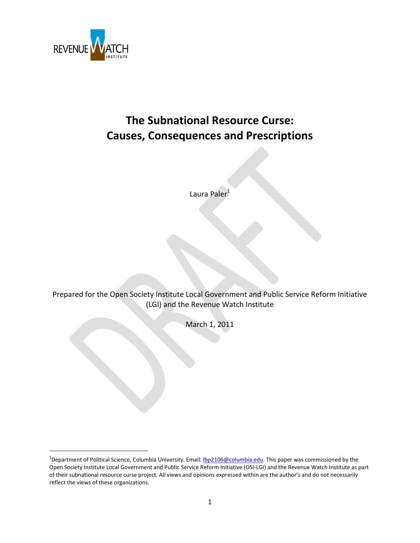

 $\overline{\phantom{a}}$ 

# **The Subnational Resource Curse: Causes, Consequences and Prescriptions**

Laura Paler<sup>1</sup>

Prepared for the Open Society Institute Local Government and Public Service Reform Initiative (LGI) and the Revenue Watch Institute

March 1, 2011

<sup>&</sup>lt;sup>1</sup>Department of Political Science, Columbia University. Email: <u>Ibp2106@columbia.edu</u>. This paper was commissioned by the Open Society Institute Local Government and Public Service Reform Initiative (OSI-LGI) and the Revenue Watch Institute as part of their subnational resource curse project. All views and opinions expressed within are the author's and do not necessarily reflect the views of these organizations.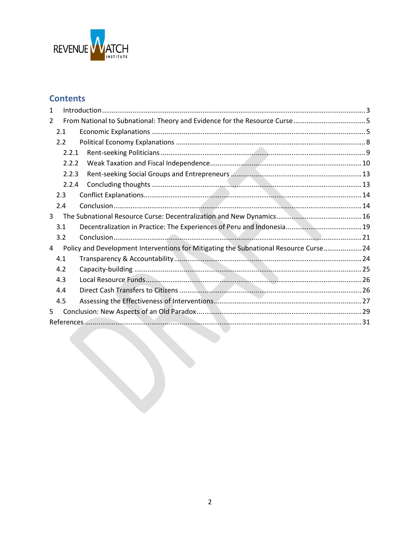

## **Contents**

| 1  |       |                                                                                       |  |
|----|-------|---------------------------------------------------------------------------------------|--|
| 2  |       |                                                                                       |  |
|    | 2.1   |                                                                                       |  |
|    | 2.2   |                                                                                       |  |
|    | 2.2.1 |                                                                                       |  |
|    | 2.2.2 |                                                                                       |  |
|    | 2.2.3 |                                                                                       |  |
|    | 2.2.4 |                                                                                       |  |
|    | 2.3   |                                                                                       |  |
|    | 2.4   |                                                                                       |  |
| 3  |       |                                                                                       |  |
|    | 3.1   |                                                                                       |  |
|    | 3.2   |                                                                                       |  |
| 4  |       | Policy and Development Interventions for Mitigating the Subnational Resource Curse 24 |  |
|    | 4.1   |                                                                                       |  |
|    | 4.2   |                                                                                       |  |
|    | 4.3   |                                                                                       |  |
|    | 4.4   |                                                                                       |  |
|    | 4.5   |                                                                                       |  |
| 5. |       |                                                                                       |  |
|    |       |                                                                                       |  |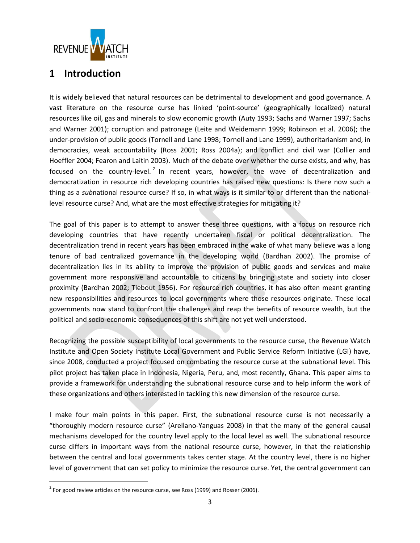

## <span id="page-2-0"></span>**1 Introduction**

It is widely believed that natural resources can be detrimental to development and good governance. A vast literature on the resource curse has linked 'point-source' (geographically localized) natural resources like oil, gas and minerals to slow economic growth (Auty 1993; Sachs and Warner 1997; Sachs and Warner 2001); corruption and patronage (Leite and Weidemann 1999; Robinson et al. 2006); the under-provision of public goods (Tornell and Lane 1998; Tornell and Lane 1999), authoritarianism and, in democracies, weak accountability (Ross 2001; Ross 2004a); and conflict and civil war (Collier and Hoeffler 2004; Fearon and Laitin 2003). Much of the debate over whether the curse exists, and why, has focused on the country-level.<sup>2</sup> In recent years, however, the wave of decentralization and democratization in resource rich developing countries has raised new questions: Is there now such a thing as a *sub*national resource curse? If so, in what ways is it similar to or different than the nationallevel resource curse? And, what are the most effective strategies for mitigating it?

The goal of this paper is to attempt to answer these three questions, with a focus on resource rich developing countries that have recently undertaken fiscal or political decentralization. The decentralization trend in recent years has been embraced in the wake of what many believe was a long tenure of bad centralized governance in the developing world (Bardhan 2002). The promise of decentralization lies in its ability to improve the provision of public goods and services and make government more responsive and accountable to citizens by bringing state and society into closer proximity (Bardhan 2002; Tiebout 1956). For resource rich countries, it has also often meant granting new responsibilities and resources to local governments where those resources originate. These local governments now stand to confront the challenges and reap the benefits of resource wealth, but the political and socio-economic consequences of this shift are not yet well understood.

Recognizing the possible susceptibility of local governments to the resource curse, the Revenue Watch Institute and Open Society Institute Local Government and Public Service Reform Initiative (LGI) have, since 2008, conducted a project focused on combating the resource curse at the subnational level. This pilot project has taken place in Indonesia, Nigeria, Peru, and, most recently, Ghana. This paper aims to provide a framework for understanding the subnational resource curse and to help inform the work of these organizations and others interested in tackling this new dimension of the resource curse.

I make four main points in this paper. First, the subnational resource curse is not necessarily a "thoroughly modern resource curse" (Arellano-Yanguas 2008) in that the many of the general causal mechanisms developed for the country level apply to the local level as well. The subnational resource curse differs in important ways from the national resource curse, however, in that the relationship between the central and local governments takes center stage. At the country level, there is no higher level of government that can set policy to minimize the resource curse. Yet, the central government can

 $\overline{\phantom{a}}$ 

 $^2$  For good review articles on the resource curse, see Ross (1999) and Rosser (2006).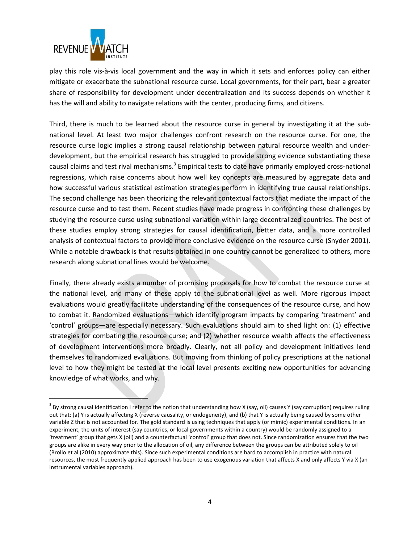

l

play this role vis-à-vis local government and the way in which it sets and enforces policy can either mitigate or exacerbate the subnational resource curse. Local governments, for their part, bear a greater share of responsibility for development under decentralization and its success depends on whether it has the will and ability to navigate relations with the center, producing firms, and citizens.

Third, there is much to be learned about the resource curse in general by investigating it at the subnational level. At least two major challenges confront research on the resource curse. For one, the resource curse logic implies a strong causal relationship between natural resource wealth and underdevelopment, but the empirical research has struggled to provide strong evidence substantiating these causal claims and test rival mechanisms.<sup>3</sup> Empirical tests to date have primarily employed cross-national regressions, which raise concerns about how well key concepts are measured by aggregate data and how successful various statistical estimation strategies perform in identifying true causal relationships. The second challenge has been theorizing the relevant contextual factors that mediate the impact of the resource curse and to test them. Recent studies have made progress in confronting these challenges by studying the resource curse using subnational variation within large decentralized countries. The best of these studies employ strong strategies for causal identification, better data, and a more controlled analysis of contextual factors to provide more conclusive evidence on the resource curse (Snyder 2001). While a notable drawback is that results obtained in one country cannot be generalized to others, more research along subnational lines would be welcome.

Finally, there already exists a number of promising proposals for how to combat the resource curse at the national level, and many of these apply to the subnational level as well. More rigorous impact evaluations would greatly facilitate understanding of the consequences of the resource curse, and how to combat it. Randomized evaluations—which identify program impacts by comparing 'treatment' and 'control' groups—are especially necessary. Such evaluations should aim to shed light on: (1) effective strategies for combating the resource curse; and (2) whether resource wealth affects the effectiveness of development interventions more broadly. Clearly, not all policy and development initiatives lend themselves to randomized evaluations. But moving from thinking of policy prescriptions at the national level to how they might be tested at the local level presents exciting new opportunities for advancing knowledge of what works, and why.

 $^3$  By strong causal identification I refer to the notion that understanding how X (say, oil) causes Y (say corruption) requires ruling out that: (a) Y is actually affecting X (reverse causality, or endogeneity), and (b) that Y is actually being caused by some other variable Z that is not accounted for. The gold standard is using techniques that apply (or mimic) experimental conditions. In an experiment, the units of interest (say countries, or local governments within a country) would be randomly assigned to a 'treatment' group that gets X (oil) and a counterfactual 'control' group that does not. Since randomization ensures that the two groups are alike in every way prior to the allocation of oil, any difference between the groups can be attributed solely to oil (Brollo et al (2010) approximate this). Since such experimental conditions are hard to accomplish in practice with natural resources, the most frequently applied approach has been to use exogenous variation that affects X and only affects Y via X (an instrumental variables approach).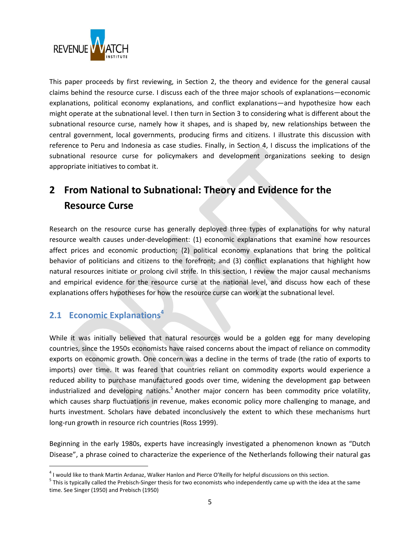

This paper proceeds by first reviewing, in Section [2,](#page-4-0) the theory and evidence for the general causal claims behind the resource curse. I discuss each of the three major schools of explanations—economic explanations, political economy explanations, and conflict explanations—and hypothesize how each might operate at the subnational level. I then turn in Section [3](#page-15-0) to considering what is different about the subnational resource curse, namely how it shapes, and is shaped by, new relationships between the central government, local governments, producing firms and citizens. I illustrate this discussion with reference to Peru and Indonesia as case studies. Finally, in Section [4,](#page-23-0) I discuss the implications of the subnational resource curse for policymakers and development organizations seeking to design appropriate initiatives to combat it.

# <span id="page-4-0"></span>**2 From National to Subnational: Theory and Evidence for the Resource Curse**

Research on the resource curse has generally deployed three types of explanations for why natural resource wealth causes under-development: (1) economic explanations that examine how resources affect prices and economic production; (2) political economy explanations that bring the political behavior of politicians and citizens to the forefront; and (3) conflict explanations that highlight how natural resources initiate or prolong civil strife. In this section, I review the major causal mechanisms and empirical evidence for the resource curse at the national level, and discuss how each of these explanations offers hypotheses for how the resource curse can work at the subnational level.

### <span id="page-4-1"></span>**2.1 Economic Explanations<sup>4</sup>**

 $\overline{a}$ 

While it was initially believed that natural resources would be a golden egg for many developing countries, since the 1950s economists have raised concerns about the impact of reliance on commodity exports on economic growth. One concern was a decline in the terms of trade (the ratio of exports to imports) over time. It was feared that countries reliant on commodity exports would experience a reduced ability to purchase manufactured goods over time, widening the development gap between industrialized and developing nations.<sup>5</sup> Another major concern has been commodity price volatility, which causes sharp fluctuations in revenue, makes economic policy more challenging to manage, and hurts investment. Scholars have debated inconclusively the extent to which these mechanisms hurt long-run growth in resource rich countries (Ross 1999).

Beginning in the early 1980s, experts have increasingly investigated a phenomenon known as "Dutch Disease", a phrase coined to characterize the experience of the Netherlands following their natural gas

 $^4$  I would like to thank Martin Ardanaz, Walker Hanlon and Pierce O'Reilly for helpful discussions on this section.

<sup>&</sup>lt;sup>5</sup> This is typically called the Prebisch-Singer thesis for two economists who independently came up with the idea at the same time. See Singer (1950) and Prebisch (1950)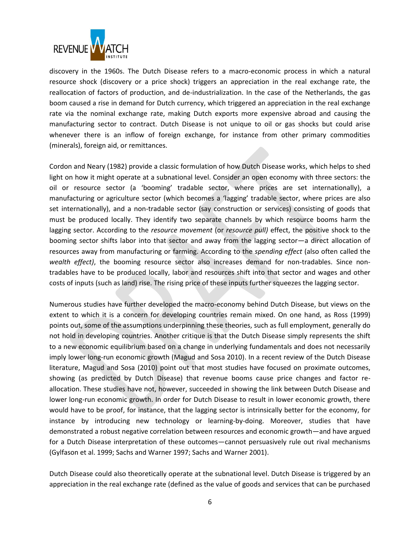

discovery in the 1960s. The Dutch Disease refers to a macro-economic process in which a natural resource shock (discovery or a price shock) triggers an appreciation in the real exchange rate, the reallocation of factors of production, and de-industrialization. In the case of the Netherlands, the gas boom caused a rise in demand for Dutch currency, which triggered an appreciation in the real exchange rate via the nominal exchange rate, making Dutch exports more expensive abroad and causing the manufacturing sector to contract. Dutch Disease is not unique to oil or gas shocks but could arise whenever there is an inflow of foreign exchange, for instance from other primary commodities (minerals), foreign aid, or remittances.

Cordon and Neary (1982) provide a classic formulation of how Dutch Disease works, which helps to shed light on how it might operate at a subnational level. Consider an open economy with three sectors: the oil or resource sector (a 'booming' tradable sector, where prices are set internationally), a manufacturing or agriculture sector (which becomes a 'lagging' tradable sector, where prices are also set internationally), and a non-tradable sector (say construction or services) consisting of goods that must be produced locally. They identify two separate channels by which resource booms harm the lagging sector. According to the *resource movement* (or *resource pull)* effect, the positive shock to the booming sector shifts labor into that sector and away from the lagging sector—a direct allocation of resources away from manufacturing or farming. According to the *spending effect* (also often called the *wealth effect)*, the booming resource sector also increases demand for non-tradables. Since nontradables have to be produced locally, labor and resources shift into that sector and wages and other costs of inputs (such as land) rise. The rising price of these inputs further squeezes the lagging sector.

Numerous studies have further developed the macro-economy behind Dutch Disease, but views on the extent to which it is a concern for developing countries remain mixed. On one hand, as Ross (1999) points out, some of the assumptions underpinning these theories, such as full employment, generally do not hold in developing countries. Another critique is that the Dutch Disease simply represents the shift to a new economic equilibrium based on a change in underlying fundamentals and does not necessarily imply lower long-run economic growth (Magud and Sosa 2010). In a recent review of the Dutch Disease literature, Magud and Sosa (2010) point out that most studies have focused on proximate outcomes, showing (as predicted by Dutch Disease) that revenue booms cause price changes and factor reallocation. These studies have not, however, succeeded in showing the link between Dutch Disease and lower long-run economic growth. In order for Dutch Disease to result in lower economic growth, there would have to be proof, for instance, that the lagging sector is intrinsically better for the economy, for instance by introducing new technology or learning-by-doing. Moreover, studies that have demonstrated a robust negative correlation between resources and economic growth—and have argued for a Dutch Disease interpretation of these outcomes—cannot persuasively rule out rival mechanisms (Gylfason et al. 1999; Sachs and Warner 1997; Sachs and Warner 2001).

Dutch Disease could also theoretically operate at the subnational level. Dutch Disease is triggered by an appreciation in the real exchange rate (defined as the value of goods and services that can be purchased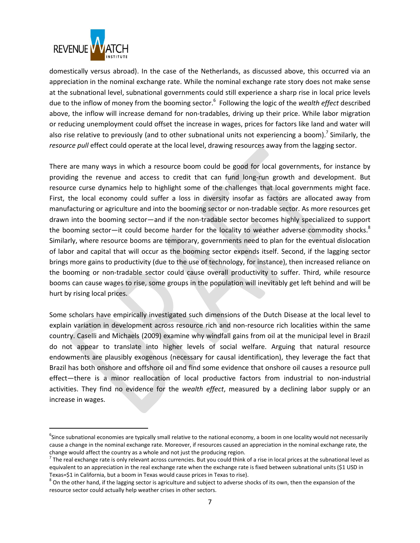

 $\overline{\phantom{a}}$ 

domestically versus abroad). In the case of the Netherlands, as discussed above, this occurred via an appreciation in the nominal exchange rate. While the nominal exchange rate story does not make sense at the subnational level, subnational governments could still experience a sharp rise in local price levels due to the inflow of money from the booming sector.<sup>6</sup> Following the logic of the *wealth effect* described above, the inflow will increase demand for non-tradables, driving up their price. While labor migration or reducing unemployment could offset the increase in wages, prices for factors like land and water will also rise relative to previously (and to other subnational units not experiencing a boom).<sup>7</sup> Similarly, the *resource pull* effect could operate at the local level, drawing resources away from the lagging sector.

There are many ways in which a resource boom could be good for local governments, for instance by providing the revenue and access to credit that can fund long-run growth and development. But resource curse dynamics help to highlight some of the challenges that local governments might face. First, the local economy could suffer a loss in diversity insofar as factors are allocated away from manufacturing or agriculture and into the booming sector or non-tradable sector. As more resources get drawn into the booming sector—and if the non-tradable sector becomes highly specialized to support the booming sector—it could become harder for the locality to weather adverse commodity shocks.<sup>8</sup> Similarly, where resource booms are temporary, governments need to plan for the eventual dislocation of labor and capital that will occur as the booming sector expends itself. Second, if the lagging sector brings more gains to productivity (due to the use of technology, for instance), then increased reliance on the booming or non-tradable sector could cause overall productivity to suffer. Third, while resource booms can cause wages to rise, some groups in the population will inevitably get left behind and will be hurt by rising local prices.

Some scholars have empirically investigated such dimensions of the Dutch Disease at the local level to explain variation in development across resource rich and non-resource rich localities within the same country. Caselli and Michaels (2009) examine why windfall gains from oil at the municipal level in Brazil do not appear to translate into higher levels of social welfare. Arguing that natural resource endowments are plausibly exogenous (necessary for causal identification), they leverage the fact that Brazil has both onshore and offshore oil and find some evidence that onshore oil causes a resource pull effect—there is a minor reallocation of local productive factors from industrial to non-industrial activities. They find no evidence for the *wealth effect*, measured by a declining labor supply or an increase in wages.

<sup>&</sup>lt;sup>6</sup>Since subnational economies are typically small relative to the national economy, a boom in one locality would not necessarily cause a change in the nominal exchange rate. Moreover, if resources caused an appreciation in the nominal exchange rate, the change would affect the country as a whole and not just the producing region.

 $^7$  The real exchange rate is only relevant across currencies. But you could think of a rise in local prices at the subnational level as equivalent to an appreciation in the real exchange rate when the exchange rate is fixed between subnational units (\$1 USD in Texas=\$1 in California, but a boom in Texas would cause prices in Texas to rise).

 $^8$  On the other hand, if the lagging sector is agriculture and subject to adverse shocks of its own, then the expansion of the resource sector could actually help weather crises in other sectors.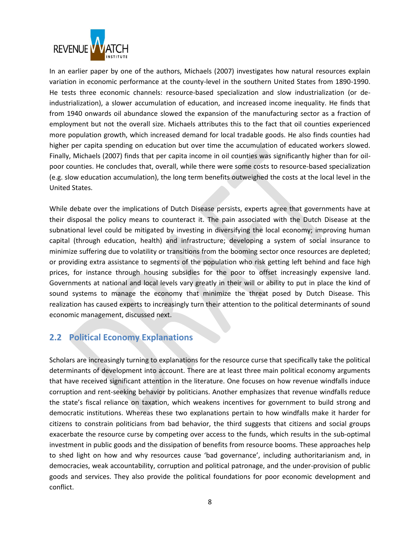

In an earlier paper by one of the authors, Michaels (2007) investigates how natural resources explain variation in economic performance at the county-level in the southern United States from 1890-1990. He tests three economic channels: resource-based specialization and slow industrialization (or deindustrialization), a slower accumulation of education, and increased income inequality. He finds that from 1940 onwards oil abundance slowed the expansion of the manufacturing sector as a fraction of employment but not the overall size. Michaels attributes this to the fact that oil counties experienced more population growth, which increased demand for local tradable goods. He also finds counties had higher per capita spending on education but over time the accumulation of educated workers slowed. Finally, Michaels (2007) finds that per capita income in oil counties was significantly higher than for oilpoor counties. He concludes that, overall, while there were some costs to resource-based specialization (e.g. slow education accumulation), the long term benefits outweighed the costs at the local level in the United States.

While debate over the implications of Dutch Disease persists, experts agree that governments have at their disposal the policy means to counteract it. The pain associated with the Dutch Disease at the subnational level could be mitigated by investing in diversifying the local economy; improving human capital (through education, health) and infrastructure; developing a system of social insurance to minimize suffering due to volatility or transitions from the booming sector once resources are depleted; or providing extra assistance to segments of the population who risk getting left behind and face high prices, for instance through housing subsidies for the poor to offset increasingly expensive land. Governments at national and local levels vary greatly in their will or ability to put in place the kind of sound systems to manage the economy that minimize the threat posed by Dutch Disease. This realization has caused experts to increasingly turn their attention to the political determinants of sound economic management, discussed next.

#### <span id="page-7-0"></span>**2.2 Political Economy Explanations**

Scholars are increasingly turning to explanations for the resource curse that specifically take the political determinants of development into account. There are at least three main political economy arguments that have received significant attention in the literature. One focuses on how revenue windfalls induce corruption and rent-seeking behavior by politicians. Another emphasizes that revenue windfalls reduce the state's fiscal reliance on taxation, which weakens incentives for government to build strong and democratic institutions. Whereas these two explanations pertain to how windfalls make it harder for citizens to constrain politicians from bad behavior, the third suggests that citizens and social groups exacerbate the resource curse by competing over access to the funds, which results in the sub-optimal investment in public goods and the dissipation of benefits from resource booms. These approaches help to shed light on how and why resources cause 'bad governance', including authoritarianism and, in democracies, weak accountability, corruption and political patronage, and the under-provision of public goods and services. They also provide the political foundations for poor economic development and conflict.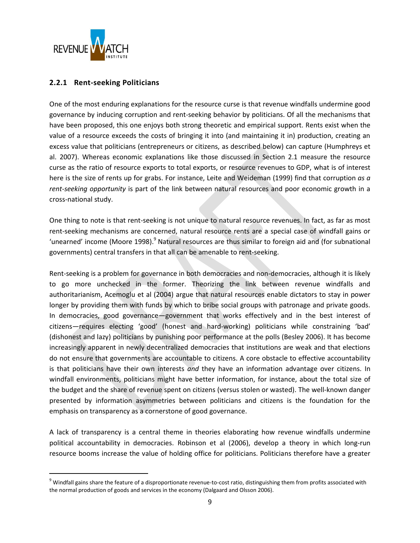

l

#### <span id="page-8-0"></span>**2.2.1 Rent-seeking Politicians**

One of the most enduring explanations for the resource curse is that revenue windfalls undermine good governance by inducing corruption and rent-seeking behavior by politicians. Of all the mechanisms that have been proposed, this one enjoys both strong theoretic and empirical support. Rents exist when the value of a resource exceeds the costs of bringing it into (and maintaining it in) production, creating an excess value that politicians (entrepreneurs or citizens, as described below) can capture (Humphreys et al. 2007). Whereas economic explanations like those discussed in Section [2.1](#page-4-1) measure the resource curse as the ratio of resource exports to total exports, or resource revenues to GDP, what is of interest here is the size of rents up for grabs. For instance, Leite and Weideman (1999) find that corruption *as a rent-seeking opportunity* is part of the link between natural resources and poor economic growth in a cross-national study.

One thing to note is that rent-seeking is not unique to natural resource revenues. In fact, as far as most rent-seeking mechanisms are concerned, natural resource rents are a special case of windfall gains or 'unearned' income (Moore 1998).<sup>9</sup> Natural resources are thus similar to foreign aid and (for subnational governments) central transfers in that all can be amenable to rent-seeking.

Rent-seeking is a problem for governance in both democracies and non-democracies, although it is likely to go more unchecked in the former. Theorizing the link between revenue windfalls and authoritarianism, Acemoglu et al (2004) argue that natural resources enable dictators to stay in power longer by providing them with funds by which to bribe social groups with patronage and private goods. In democracies, good governance—government that works effectively and in the best interest of citizens—requires electing 'good' (honest and hard-working) politicians while constraining 'bad' (dishonest and lazy) politicians by punishing poor performance at the polls (Besley 2006). It has become increasingly apparent in newly decentralized democracies that institutions are weak and that elections do not ensure that governments are accountable to citizens. A core obstacle to effective accountability is that politicians have their own interests *and* they have an information advantage over citizens. In windfall environments, politicians might have better information, for instance, about the total size of the budget and the share of revenue spent on citizens (versus stolen or wasted). The well-known danger presented by information asymmetries between politicians and citizens is the foundation for the emphasis on transparency as a cornerstone of good governance.

A lack of transparency is a central theme in theories elaborating how revenue windfalls undermine political accountability in democracies. Robinson et al (2006), develop a theory in which long-run resource booms increase the value of holding office for politicians. Politicians therefore have a greater

<sup>&</sup>lt;sup>9</sup> Windfall gains share the feature of a disproportionate revenue-to-cost ratio, distinguishing them from profits associated with the normal production of goods and services in the economy (Dalgaard and Olsson 2006).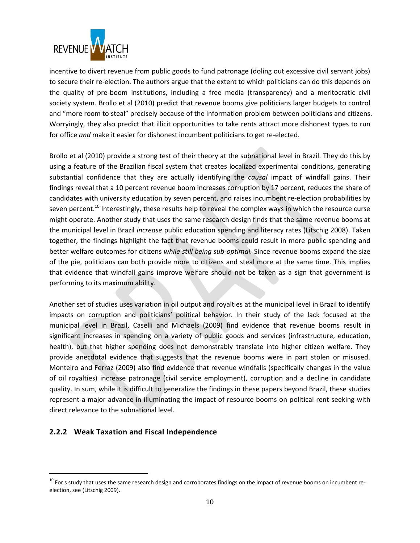

incentive to divert revenue from public goods to fund patronage (doling out excessive civil servant jobs) to secure their re-election. The authors argue that the extent to which politicians can do this depends on the quality of pre-boom institutions, including a free media (transparency) and a meritocratic civil society system. Brollo et al (2010) predict that revenue booms give politicians larger budgets to control and "more room to steal" precisely because of the information problem between politicians and citizens. Worryingly, they also predict that illicit opportunities to take rents attract more dishonest types to run for office *and* make it easier for dishonest incumbent politicians to get re-elected.

Brollo et al (2010) provide a strong test of their theory at the subnational level in Brazil. They do this by using a feature of the Brazilian fiscal system that creates localized experimental conditions, generating substantial confidence that they are actually identifying the *causal* impact of windfall gains. Their findings reveal that a 10 percent revenue boom increases corruption by 17 percent, reduces the share of candidates with university education by seven percent, and raises incumbent re-election probabilities by seven percent.<sup>10</sup> Interestingly, these results help to reveal the complex ways in which the resource curse might operate. Another study that uses the same research design finds that the same revenue booms at the municipal level in Brazil *increase* public education spending and literacy rates (Litschig 2008). Taken together, the findings highlight the fact that revenue booms could result in more public spending and better welfare outcomes for citizens *while still being sub-optimal.* Since revenue booms expand the size of the pie, politicians can both provide more to citizens and steal more at the same time. This implies that evidence that windfall gains improve welfare should not be taken as a sign that government is performing to its maximum ability.

Another set of studies uses variation in oil output and royalties at the municipal level in Brazil to identify impacts on corruption and politicians' political behavior. In their study of the lack focused at the municipal level in Brazil, Caselli and Michaels (2009) find evidence that revenue booms result in significant increases in spending on a variety of public goods and services (infrastructure, education, health), but that higher spending does not demonstrably translate into higher citizen welfare. They provide anecdotal evidence that suggests that the revenue booms were in part stolen or misused. Monteiro and Ferraz (2009) also find evidence that revenue windfalls (specifically changes in the value of oil royalties) increase patronage (civil service employment), corruption and a decline in candidate quality. In sum, while it is difficult to generalize the findings in these papers beyond Brazil, these studies represent a major advance in illuminating the impact of resource booms on political rent-seeking with direct relevance to the subnational level.

#### <span id="page-9-0"></span>**2.2.2 Weak Taxation and Fiscal Independence**

l

<sup>&</sup>lt;sup>10</sup> For s study that uses the same research design and corroborates findings on the impact of revenue booms on incumbent reelection, see (Litschig 2009).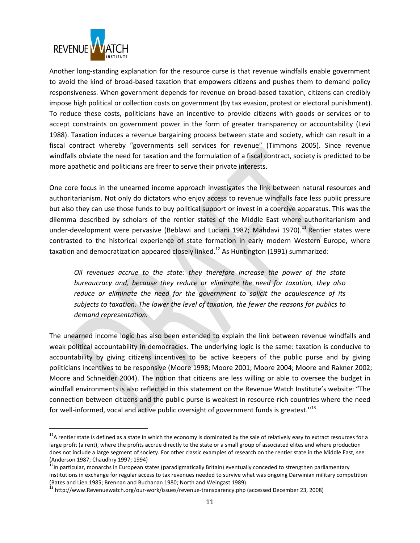

 $\overline{\phantom{a}}$ 

Another long-standing explanation for the resource curse is that revenue windfalls enable government to avoid the kind of broad-based taxation that empowers citizens and pushes them to demand policy responsiveness. When government depends for revenue on broad-based taxation, citizens can credibly impose high political or collection costs on government (by tax evasion, protest or electoral punishment). To reduce these costs, politicians have an incentive to provide citizens with goods or services or to accept constraints on government power in the form of greater transparency or accountability (Levi 1988). Taxation induces a revenue bargaining process between state and society, which can result in a fiscal contract whereby "governments sell services for revenue" (Timmons 2005). Since revenue windfalls obviate the need for taxation and the formulation of a fiscal contract, society is predicted to be more apathetic and politicians are freer to serve their private interests.

One core focus in the unearned income approach investigates the link between natural resources and authoritarianism. Not only do dictators who enjoy access to revenue windfalls face less public pressure but also they can use those funds to buy political support or invest in a coercive apparatus. This was the dilemma described by scholars of the rentier states of the Middle East where authoritarianism and under-development were pervasive (Beblawi and Luciani 1987; Mahdavi 1970).<sup>11</sup> Rentier states were contrasted to the historical experience of state formation in early modern Western Europe, where taxation and democratization appeared closely linked.<sup>12</sup> As Huntington (1991) summarized:

*Oil revenues accrue to the state: they therefore increase the power of the state bureaucracy and, because they reduce or eliminate the need for taxation, they also reduce or eliminate the need for the government to solicit the acquiescence of its subjects to taxation. The lower the level of taxation, the fewer the reasons for publics to demand representation.*

The unearned income logic has also been extended to explain the link between revenue windfalls and weak political accountability in democracies. The underlying logic is the same: taxation is conducive to accountability by giving citizens incentives to be active keepers of the public purse and by giving politicians incentives to be responsive (Moore 1998; Moore 2001; Moore 2004; Moore and Rakner 2002; Moore and Schneider 2004). The notion that citizens are less willing or able to oversee the budget in windfall environments is also reflected in this statement on the Revenue Watch Institute's website: "The connection between citizens and the public purse is weakest in resource-rich countries where the need for well-informed, vocal and active public oversight of government funds is greatest."<sup>13</sup>

 $11$ A rentier state is defined as a state in which the economy is dominated by the sale of relatively easy to extract resources for a large profit (a rent), where the profits accrue directly to the state or a small group of associated elites and where production does not include a large segment of society. For other classic examples of research on the rentier state in the Middle East, see (Anderson 1987; Chaudhry 1997; 1994)

<sup>12</sup>In particular, monarchs in European states (paradigmatically Britain) eventually conceded to strengthen parliamentary institutions in exchange for regular access to tax revenues needed to survive what was ongoing Darwinian military competition (Bates and Lien 1985; Brennan and Buchanan 1980; North and Weingast 1989).

<sup>&</sup>lt;sup>13</sup> http://www.Revenuewatch.org/our-work/issues/revenue-transparency.php (accessed December 23, 2008)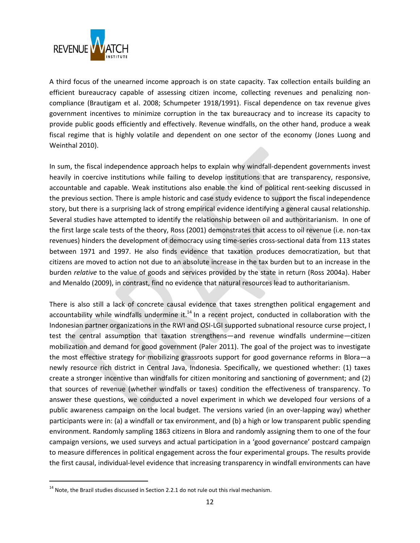

A third focus of the unearned income approach is on state capacity. Tax collection entails building an efficient bureaucracy capable of assessing citizen income, collecting revenues and penalizing noncompliance (Brautigam et al. 2008; Schumpeter 1918/1991). Fiscal dependence on tax revenue gives government incentives to minimize corruption in the tax bureaucracy and to increase its capacity to provide public goods efficiently and effectively. Revenue windfalls, on the other hand, produce a weak fiscal regime that is highly volatile and dependent on one sector of the economy (Jones Luong and Weinthal 2010).

In sum, the fiscal independence approach helps to explain why windfall-dependent governments invest heavily in coercive institutions while failing to develop institutions that are transparency, responsive, accountable and capable. Weak institutions also enable the kind of political rent-seeking discussed in the previous section. There is ample historic and case study evidence to support the fiscal independence story, but there is a surprising lack of strong empirical evidence identifying a general causal relationship. Several studies have attempted to identify the relationship between oil and authoritarianism. In one of the first large scale tests of the theory, Ross (2001) demonstrates that access to oil revenue (i.e. non-tax revenues) hinders the development of democracy using time-series cross-sectional data from 113 states between 1971 and 1997. He also finds evidence that taxation produces democratization, but that citizens are moved to action not due to an absolute increase in the tax burden but to an increase in the burden *relative* to the value of goods and services provided by the state in return (Ross 2004a). Haber and Menaldo (2009), in contrast, find no evidence that natural resources lead to authoritarianism.

There is also still a lack of concrete causal evidence that taxes strengthen political engagement and accountability while windfalls undermine it. $14$  In a recent project, conducted in collaboration with the Indonesian partner organizations in the RWI and OSI-LGI supported subnational resource curse project, I test the central assumption that taxation strengthens—and revenue windfalls undermine—citizen mobilization and demand for good government (Paler 2011). The goal of the project was to investigate the most effective strategy for mobilizing grassroots support for good governance reforms in Blora—a newly resource rich district in Central Java, Indonesia. Specifically, we questioned whether: (1) taxes create a stronger incentive than windfalls for citizen monitoring and sanctioning of government; and (2) that sources of revenue (whether windfalls or taxes) condition the effectiveness of transparency. To answer these questions, we conducted a novel experiment in which we developed four versions of a public awareness campaign on the local budget. The versions varied (in an over-lapping way) whether participants were in: (a) a windfall or tax environment, and (b) a high or low transparent public spending environment. Randomly sampling 1863 citizens in Blora and randomly assigning them to one of the four campaign versions, we used surveys and actual participation in a 'good governance' postcard campaign to measure differences in political engagement across the four experimental groups. The results provide the first causal, individual-level evidence that increasing transparency in windfall environments can have

 $\overline{\phantom{a}}$ 

 $14$  Note, the Brazil studies discussed in Section [2.2.1](#page-8-0) do not rule out this rival mechanism.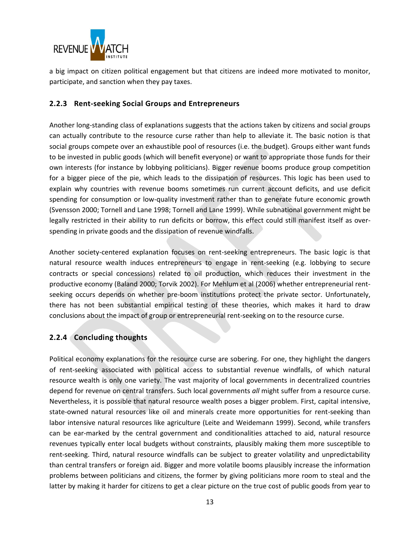

a big impact on citizen political engagement but that citizens are indeed more motivated to monitor, participate, and sanction when they pay taxes.

#### <span id="page-12-0"></span>**2.2.3 Rent-seeking Social Groups and Entrepreneurs**

Another long-standing class of explanations suggests that the actions taken by citizens and social groups can actually contribute to the resource curse rather than help to alleviate it. The basic notion is that social groups compete over an exhaustible pool of resources (i.e. the budget). Groups either want funds to be invested in public goods (which will benefit everyone) or want to appropriate those funds for their own interests (for instance by lobbying politicians). Bigger revenue booms produce group competition for a bigger piece of the pie, which leads to the dissipation of resources. This logic has been used to explain why countries with revenue booms sometimes run current account deficits, and use deficit spending for consumption or low-quality investment rather than to generate future economic growth (Svensson 2000; Tornell and Lane 1998; Tornell and Lane 1999). While subnational government might be legally restricted in their ability to run deficits or borrow, this effect could still manifest itself as overspending in private goods and the dissipation of revenue windfalls.

Another society-centered explanation focuses on rent-seeking entrepreneurs. The basic logic is that natural resource wealth induces entrepreneurs to engage in rent-seeking (e.g. lobbying to secure contracts or special concessions) related to oil production, which reduces their investment in the productive economy (Baland 2000; Torvik 2002). For Mehlum et al (2006) whether entrepreneurial rentseeking occurs depends on whether pre-boom institutions protect the private sector. Unfortunately, there has not been substantial empirical testing of these theories, which makes it hard to draw conclusions about the impact of group or entrepreneurial rent-seeking on to the resource curse.

#### <span id="page-12-1"></span>**2.2.4 Concluding thoughts**

Political economy explanations for the resource curse are sobering. For one, they highlight the dangers of rent-seeking associated with political access to substantial revenue windfalls, of which natural resource wealth is only one variety. The vast majority of local governments in decentralized countries depend for revenue on central transfers. Such local governments *all* might suffer from a resource curse. Nevertheless, it is possible that natural resource wealth poses a bigger problem. First, capital intensive, state-owned natural resources like oil and minerals create more opportunities for rent-seeking than labor intensive natural resources like agriculture (Leite and Weidemann 1999). Second, while transfers can be ear-marked by the central government and conditionalities attached to aid, natural resource revenues typically enter local budgets without constraints, plausibly making them more susceptible to rent-seeking. Third, natural resource windfalls can be subject to greater volatility and unpredictability than central transfers or foreign aid. Bigger and more volatile booms plausibly increase the information problems between politicians and citizens, the former by giving politicians more room to steal and the latter by making it harder for citizens to get a clear picture on the true cost of public goods from year to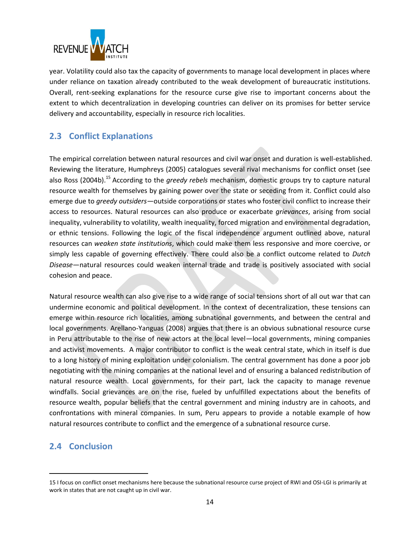

year. Volatility could also tax the capacity of governments to manage local development in places where under reliance on taxation already contributed to the weak development of bureaucratic institutions. Overall, rent-seeking explanations for the resource curse give rise to important concerns about the extent to which decentralization in developing countries can deliver on its promises for better service delivery and accountability, especially in resource rich localities.

## <span id="page-13-0"></span>**2.3 Conflict Explanations**

The empirical correlation between natural resources and civil war onset and duration is well-established. Reviewing the literature, Humphreys (2005) catalogues several rival mechanisms for conflict onset (see also Ross (2004b). <sup>15</sup> According to the *greedy rebels* mechanism, domestic groups try to capture natural resource wealth for themselves by gaining power over the state or seceding from it. Conflict could also emerge due to *greedy outsiders*—outside corporations or states who foster civil conflict to increase their access to resources. Natural resources can also produce or exacerbate *grievances*, arising from social inequality, vulnerability to volatility, wealth inequality, forced migration and environmental degradation, or ethnic tensions. Following the logic of the fiscal independence argument outlined above, natural resources can *weaken state institutions*, which could make them less responsive and more coercive, or simply less capable of governing effectively. There could also be a conflict outcome related to *Dutch Disease*—natural resources could weaken internal trade and trade is positively associated with social cohesion and peace.

Natural resource wealth can also give rise to a wide range of social tensions short of all out war that can undermine economic and political development. In the context of decentralization, these tensions can emerge within resource rich localities, among subnational governments, and between the central and local governments. Arellano-Yanguas (2008) argues that there is an obvious subnational resource curse in Peru attributable to the rise of new actors at the local level—local governments, mining companies and activist movements. A major contributor to conflict is the weak central state, which in itself is due to a long history of mining exploitation under colonialism. The central government has done a poor job negotiating with the mining companies at the national level and of ensuring a balanced redistribution of natural resource wealth. Local governments, for their part, lack the capacity to manage revenue windfalls. Social grievances are on the rise, fueled by unfulfilled expectations about the benefits of resource wealth, popular beliefs that the central government and mining industry are in cahoots, and confrontations with mineral companies. In sum, Peru appears to provide a notable example of how natural resources contribute to conflict and the emergence of a subnational resource curse.

#### <span id="page-13-1"></span>**2.4 Conclusion**

l

<sup>15</sup> I focus on conflict onset mechanisms here because the subnational resource curse project of RWI and OSI-LGI is primarily at work in states that are not caught up in civil war.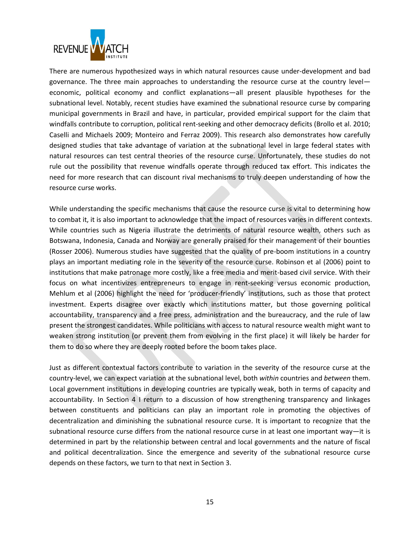

There are numerous hypothesized ways in which natural resources cause under-development and bad governance. The three main approaches to understanding the resource curse at the country level economic, political economy and conflict explanations—all present plausible hypotheses for the subnational level. Notably, recent studies have examined the subnational resource curse by comparing municipal governments in Brazil and have, in particular, provided empirical support for the claim that windfalls contribute to corruption, political rent-seeking and other democracy deficits (Brollo et al. 2010; Caselli and Michaels 2009; Monteiro and Ferraz 2009). This research also demonstrates how carefully designed studies that take advantage of variation at the subnational level in large federal states with natural resources can test central theories of the resource curse. Unfortunately, these studies do not rule out the possibility that revenue windfalls operate through reduced tax effort. This indicates the need for more research that can discount rival mechanisms to truly deepen understanding of how the resource curse works.

While understanding the specific mechanisms that cause the resource curse is vital to determining how to combat it, it is also important to acknowledge that the impact of resources varies in different contexts. While countries such as Nigeria illustrate the detriments of natural resource wealth, others such as Botswana, Indonesia, Canada and Norway are generally praised for their management of their bounties (Rosser 2006). Numerous studies have suggested that the quality of pre-boom institutions in a country plays an important mediating role in the severity of the resource curse. Robinson et al (2006) point to institutions that make patronage more costly, like a free media and merit-based civil service. With their focus on what incentivizes entrepreneurs to engage in rent-seeking versus economic production, Mehlum et al (2006) highlight the need for 'producer-friendly' institutions, such as those that protect investment. Experts disagree over exactly which institutions matter, but those governing political accountability, transparency and a free press, administration and the bureaucracy, and the rule of law present the strongest candidates. While politicians with access to natural resource wealth might want to weaken strong institution (or prevent them from evolving in the first place) it will likely be harder for them to do so where they are deeply rooted before the boom takes place.

Just as different contextual factors contribute to variation in the severity of the resource curse at the country-level, we can expect variation at the subnational level, both *within* countries and *between* them. Local government institutions in developing countries are typically weak, both in terms of capacity and accountability. In Section [4](#page-23-0) I return to a discussion of how strengthening transparency and linkages between constituents and politicians can play an important role in promoting the objectives of decentralization and diminishing the subnational resource curse. It is important to recognize that the subnational resource curse differs from the national resource curse in at least one important way—it is determined in part by the relationship between central and local governments and the nature of fiscal and political decentralization. Since the emergence and severity of the subnational resource curse depends on these factors, we turn to that next in Section [3.](#page-15-0)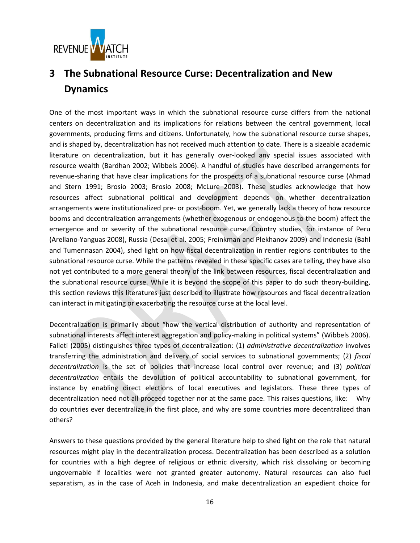

# <span id="page-15-0"></span>**3 The Subnational Resource Curse: Decentralization and New Dynamics**

One of the most important ways in which the subnational resource curse differs from the national centers on decentralization and its implications for relations between the central government, local governments, producing firms and citizens. Unfortunately, how the subnational resource curse shapes, and is shaped by, decentralization has not received much attention to date. There is a sizeable academic literature on decentralization, but it has generally over-looked any special issues associated with resource wealth (Bardhan 2002; Wibbels 2006). A handful of studies have described arrangements for revenue-sharing that have clear implications for the prospects of a subnational resource curse (Ahmad and Stern 1991; Brosio 2003; Brosio 2008; McLure 2003). These studies acknowledge that how resources affect subnational political and development depends on whether decentralization arrangements were institutionalized pre- or post-boom. Yet, we generally lack a theory of how resource booms and decentralization arrangements (whether exogenous or endogenous to the boom) affect the emergence and or severity of the subnational resource curse. Country studies, for instance of Peru (Arellano-Yanguas 2008), Russia (Desai et al. 2005; Freinkman and Plekhanov 2009) and Indonesia (Bahl and Tumennasan 2004), shed light on how fiscal decentralization in rentier regions contributes to the subnational resource curse. While the patterns revealed in these specific cases are telling, they have also not yet contributed to a more general theory of the link between resources, fiscal decentralization and the subnational resource curse. While it is beyond the scope of this paper to do such theory-building, this section reviews this literatures just described to illustrate how resources and fiscal decentralization can interact in mitigating or exacerbating the resource curse at the local level.

Decentralization is primarily about "how the vertical distribution of authority and representation of subnational interests affect interest aggregation and policy-making in political systems" (Wibbels 2006). Falleti (2005) distinguishes three types of decentralization: (1) *administrative decentralization* involves transferring the administration and delivery of social services to subnational governments; (2) *fiscal decentralization* is the set of policies that increase local control over revenue; and (3) *political decentralization* entails the devolution of political accountability to subnational government, for instance by enabling direct elections of local executives and legislators. These three types of decentralization need not all proceed together nor at the same pace. This raises questions, like: Why do countries ever decentralize in the first place, and why are some countries more decentralized than others?

Answers to these questions provided by the general literature help to shed light on the role that natural resources might play in the decentralization process. Decentralization has been described as a solution for countries with a high degree of religious or ethnic diversity, which risk dissolving or becoming ungovernable if localities were not granted greater autonomy. Natural resources can also fuel separatism, as in the case of Aceh in Indonesia, and make decentralization an expedient choice for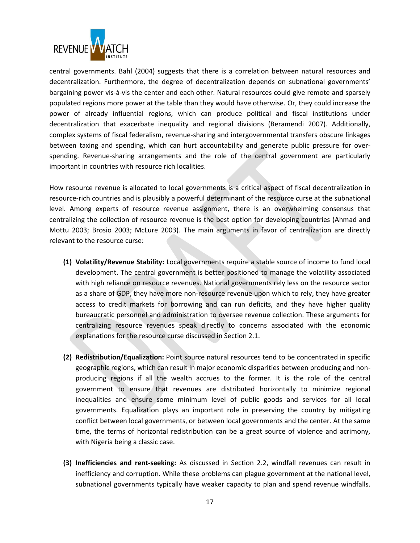

central governments. Bahl (2004) suggests that there is a correlation between natural resources and decentralization. Furthermore, the degree of decentralization depends on subnational governments' bargaining power vis-à-vis the center and each other. Natural resources could give remote and sparsely populated regions more power at the table than they would have otherwise. Or, they could increase the power of already influential regions, which can produce political and fiscal institutions under decentralization that exacerbate inequality and regional divisions (Beramendi 2007). Additionally, complex systems of fiscal federalism, revenue-sharing and intergovernmental transfers obscure linkages between taxing and spending, which can hurt accountability and generate public pressure for overspending. Revenue-sharing arrangements and the role of the central government are particularly important in countries with resource rich localities.

How resource revenue is allocated to local governments is a critical aspect of fiscal decentralization in resource-rich countries and is plausibly a powerful determinant of the resource curse at the subnational level. Among experts of resource revenue assignment, there is an overwhelming consensus that centralizing the collection of resource revenue is the best option for developing countries (Ahmad and Mottu 2003; Brosio 2003; McLure 2003). The main arguments in favor of centralization are directly relevant to the resource curse:

- **(1) Volatility/Revenue Stability:** Local governments require a stable source of income to fund local development. The central government is better positioned to manage the volatility associated with high reliance on resource revenues. National governments rely less on the resource sector as a share of GDP, they have more non-resource revenue upon which to rely, they have greater access to credit markets for borrowing and can run deficits, and they have higher quality bureaucratic personnel and administration to oversee revenue collection. These arguments for centralizing resource revenues speak directly to concerns associated with the economic explanations for the resource curse discussed in Section [2.1.](#page-4-1)
- **(2) Redistribution/Equalization:** Point source natural resources tend to be concentrated in specific geographic regions, which can result in major economic disparities between producing and nonproducing regions if all the wealth accrues to the former. It is the role of the central government to ensure that revenues are distributed horizontally to minimize regional inequalities and ensure some minimum level of public goods and services for all local governments. Equalization plays an important role in preserving the country by mitigating conflict between local governments, or between local governments and the center. At the same time, the terms of horizontal redistribution can be a great source of violence and acrimony, with Nigeria being a classic case.
- **(3) Inefficiencies and rent-seeking:** As discussed in Section [2.2,](#page-7-0) windfall revenues can result in inefficiency and corruption. While these problems can plague government at the national level, subnational governments typically have weaker capacity to plan and spend revenue windfalls.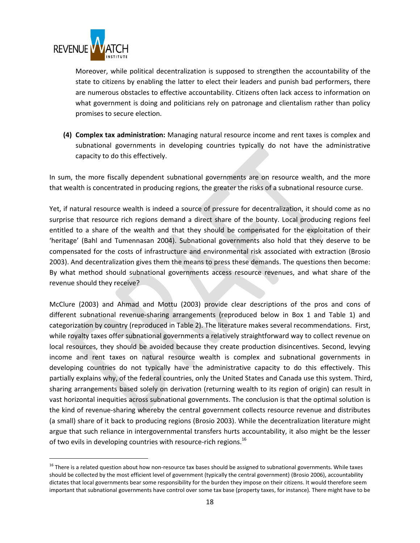

 $\overline{\phantom{a}}$ 

Moreover, while political decentralization is supposed to strengthen the accountability of the state to citizens by enabling the latter to elect their leaders and punish bad performers, there are numerous obstacles to effective accountability. Citizens often lack access to information on what government is doing and politicians rely on patronage and clientalism rather than policy promises to secure election.

**(4) Complex tax administration:** Managing natural resource income and rent taxes is complex and subnational governments in developing countries typically do not have the administrative capacity to do this effectively.

In sum, the more fiscally dependent subnational governments are on resource wealth, and the more that wealth is concentrated in producing regions, the greater the risks of a subnational resource curse.

Yet, if natural resource wealth is indeed a source of pressure for decentralization, it should come as no surprise that resource rich regions demand a direct share of the bounty. Local producing regions feel entitled to a share of the wealth and that they should be compensated for the exploitation of their 'heritage' (Bahl and Tumennasan 2004). Subnational governments also hold that they deserve to be compensated for the costs of infrastructure and environmental risk associated with extraction (Brosio 2003). And decentralization gives them the means to press these demands. The questions then become: By what method should subnational governments access resource revenues, and what share of the revenue should they receive?

McClure (2003) and Ahmad and Mottu (2003) provide clear descriptions of the pros and cons of different subnational revenue-sharing arrangements (reproduced below in Box 1 and Table 1) and categorization by country (reproduced in Table 2). The literature makes several recommendations. First, while royalty taxes offer subnational governments a relatively straightforward way to collect revenue on local resources, they should be avoided because they create production disincentives. Second, levying income and rent taxes on natural resource wealth is complex and subnational governments in developing countries do not typically have the administrative capacity to do this effectively. This partially explains why, of the federal countries, only the United States and Canada use this system. Third, sharing arrangements based solely on derivation (returning wealth to its region of origin) can result in vast horizontal inequities across subnational governments. The conclusion is that the optimal solution is the kind of revenue-sharing whereby the central government collects resource revenue and distributes (a small) share of it back to producing regions (Brosio 2003). While the decentralization literature might argue that such reliance in intergovernmental transfers hurts accountability, it also might be the lesser of two evils in developing countries with resource-rich regions.<sup>16</sup>

<sup>&</sup>lt;sup>16</sup> There is a related question about how non-resource tax bases should be assigned to subnational governments. While taxes should be collected by the most efficient level of government (typically the central government) (Brosio 2006), accountability dictates that local governments bear some responsibility for the burden they impose on their citizens. It would therefore seem important that subnational governments have control over some tax base (property taxes, for instance). There might have to be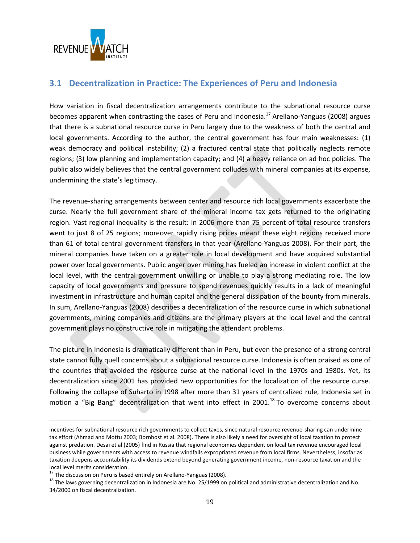

### <span id="page-18-0"></span>**3.1 Decentralization in Practice: The Experiences of Peru and Indonesia**

How variation in fiscal decentralization arrangements contribute to the subnational resource curse becomes apparent when contrasting the cases of Peru and Indonesia.<sup>17</sup> Arellano-Yanguas (2008) argues that there is a subnational resource curse in Peru largely due to the weakness of both the central and local governments. According to the author, the central government has four main weaknesses: (1) weak democracy and political instability; (2) a fractured central state that politically neglects remote regions; (3) low planning and implementation capacity; and (4) a heavy reliance on ad hoc policies. The public also widely believes that the central government colludes with mineral companies at its expense, undermining the state's legitimacy.

The revenue-sharing arrangements between center and resource rich local governments exacerbate the curse. Nearly the full government share of the mineral income tax gets returned to the originating region. Vast regional inequality is the result: in 2006 more than 75 percent of total resource transfers went to just 8 of 25 regions; moreover rapidly rising prices meant these eight regions received more than 61 of total central government transfers in that year (Arellano-Yanguas 2008). For their part, the mineral companies have taken on a greater role in local development and have acquired substantial power over local governments. Public anger over mining has fueled an increase in violent conflict at the local level, with the central government unwilling or unable to play a strong mediating role. The low capacity of local governments and pressure to spend revenues quickly results in a lack of meaningful investment in infrastructure and human capital and the general dissipation of the bounty from minerals. In sum, Arellano-Yanguas (2008) describes a decentralization of the resource curse in which subnational governments, mining companies and citizens are the primary players at the local level and the central government plays no constructive role in mitigating the attendant problems.

The picture in Indonesia is dramatically different than in Peru, but even the presence of a strong central state cannot fully quell concerns about a subnational resource curse. Indonesia is often praised as one of the countries that avoided the resource curse at the national level in the 1970s and 1980s. Yet, its decentralization since 2001 has provided new opportunities for the localization of the resource curse. Following the collapse of Suharto in 1998 after more than 31 years of centralized rule, Indonesia set in motion a "Big Bang" decentralization that went into effect in 2001.<sup>18</sup> To overcome concerns about

 $\overline{a}$ 

incentives for subnational resource rich governments to collect taxes, since natural resource revenue-sharing can undermine tax effort (Ahmad and Mottu 2003; Bornhost et al. 2008). There is also likely a need for oversight of local taxation to protect against predation. Desai et al (2005) find in Russia that regional economies dependent on local tax revenue encouraged local business while governments with access to revenue windfalls expropriated revenue from local firms. Nevertheless, insofar as taxation deepens accountability its dividends extend beyond generating government income, non-resource taxation and the local level merits consideration.

 $17$  The discussion on Peru is based entirely on Arellano-Yanguas (2008).

<sup>&</sup>lt;sup>18</sup> The laws governing decentralization in Indonesia are No. 25/1999 on political and administrative decentralization and No. 34/2000 on fiscal decentralization.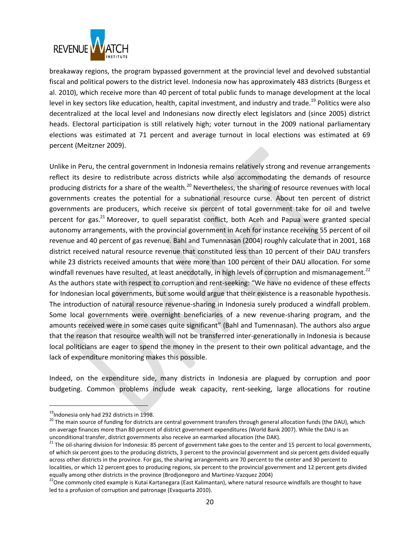

breakaway regions, the program bypassed government at the provincial level and devolved substantial fiscal and political powers to the district level. Indonesia now has approximately 483 districts (Burgess et al. 2010), which receive more than 40 percent of total public funds to manage development at the local level in key sectors like education, health, capital investment, and industry and trade.<sup>19</sup> Politics were also decentralized at the local level and Indonesians now directly elect legislators and (since 2005) district heads. Electoral participation is still relatively high; voter turnout in the 2009 national parliamentary elections was estimated at 71 percent and average turnout in local elections was estimated at 69 percent (Meitzner 2009).

Unlike in Peru, the central government in Indonesia remains relatively strong and revenue arrangements reflect its desire to redistribute across districts while also accommodating the demands of resource producing districts for a share of the wealth.<sup>20</sup> Nevertheless, the sharing of resource revenues with local governments creates the potential for a subnational resource curse. About ten percent of district governments are producers, which receive six percent of total government take for oil and twelve percent for gas.<sup>21</sup> Moreover, to quell separatist conflict, both Aceh and Papua were granted special autonomy arrangements, with the provincial government in Aceh for instance receiving 55 percent of oil revenue and 40 percent of gas revenue. Bahl and Tumennasan (2004) roughly calculate that in 2001, 168 district received natural resource revenue that constituted less than 10 percent of their DAU transfers while 23 districts received amounts that were more than 100 percent of their DAU allocation. For some windfall revenues have resulted, at least anecdotally, in high levels of corruption and mismanagement.<sup>22</sup> As the authors state with respect to corruption and rent-seeking: "We have no evidence of these effects for Indonesian local governments, but some would argue that their existence is a reasonable hypothesis. The introduction of natural resource revenue-sharing in Indonesia surely produced a windfall problem. Some local governments were overnight beneficiaries of a new revenue-sharing program, and the amounts received were in some cases quite significant" (Bahl and Tumennasan). The authors also argue that the reason that resource wealth will not be transferred inter-generationally in Indonesia is because local politicians are eager to spend the money in the present to their own political advantage, and the lack of expenditure monitoring makes this possible.

Indeed, on the expenditure side, many districts in Indonesia are plagued by corruption and poor budgeting. Common problems include weak capacity, rent-seeking, large allocations for routine

 $\overline{\phantom{a}}$ 

<sup>&</sup>lt;sup>19</sup>Indonesia only had 292 districts in 1998.

<sup>&</sup>lt;sup>20</sup> The main source of funding for districts are central government transfers through general allocation funds (the DAU), which on average finances more than 80 percent of district government expenditures (World Bank 2007). While the DAU is an unconditional transfer, district governments also receive an earmarked allocation (the DAK).

<sup>&</sup>lt;sup>21</sup> The oil-sharing division for Indonesia: 85 percent of government take goes to the center and 15 percent to local governments, of which six percent goes to the producing districts, 3 percent to the provincial government and six percent gets divided equally across other districts in the province. For gas, the sharing arrangements are 70 percent to the center and 30 percent to localities, or which 12 percent goes to producing regions, six percent to the provincial government and 12 percent gets divided equally among other districts in the province (Brodjonegoro and Martinez-Vazquez 2004)

<sup>&</sup>lt;sup>22</sup>One commonly cited example is Kutai Kartanegara (East Kalimantan), where natural resource windfalls are thought to have led to a profusion of corruption and patronage (Evaquarta 2010).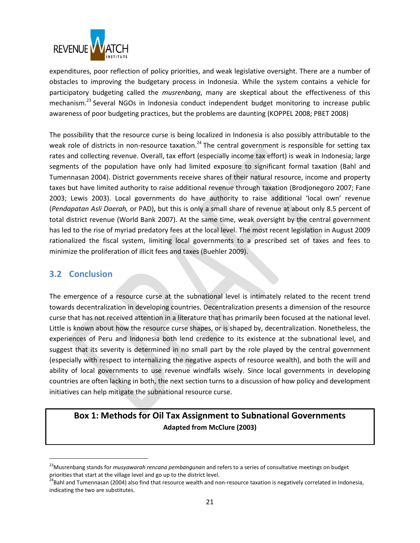

expenditures, poor reflection of policy priorities, and weak legislative oversight. There are a number of obstacles to improving the budgetary process in Indonesia. While the system contains a vehicle for participatory budgeting called the *musrenbang*, many are skeptical about the effectiveness of this mechanism.<sup>23</sup> Several NGOs in Indonesia conduct independent budget monitoring to increase public awareness of poor budgeting practices, but the problems are daunting (KOPPEL 2008; PBET 2008)

The possibility that the resource curse is being localized in Indonesia is also possibly attributable to the weak role of districts in non-resource taxation.<sup>24</sup> The central government is responsible for setting tax rates and collecting revenue. Overall, tax effort (especially income tax effort) is weak in Indonesia; large segments of the population have only had limited exposure to significant formal taxation (Bahl and Tumennasan 2004). District governments receive shares of their natural resource, income and property taxes but have limited authority to raise additional revenue through taxation (Brodjonegoro 2007; Fane 2003; Lewis 2003). Local governments do have authority to raise additional 'local own' revenue (*Pendapatan Asli Daerah,* or PAD), but this is only a small share of revenue at about only 8.5 percent of total district revenue (World Bank 2007). At the same time, weak oversight by the central government has led to the rise of myriad predatory fees at the local level. The most recent legislation in August 2009 rationalized the fiscal system, limiting local governments to a prescribed set of taxes and fees to minimize the proliferation of illicit fees and taxes (Buehler 2009).

#### <span id="page-20-0"></span>**3.2 Conclusion**

 $\overline{\phantom{a}}$ 

The emergence of a resource curse at the subnational level is intimately related to the recent trend towards decentralization in developing countries. Decentralization presents a dimension of the resource curse that has not received attention in a literature that has primarily been focused at the national level. Little is known about how the resource curse shapes, or is shaped by, decentralization. Nonetheless, the experiences of Peru and Indonesia both lend credence to its existence at the subnational level, and suggest that its severity is determined in no small part by the role played by the central government (especially with respect to internalizing the negative aspects of resource wealth), and both the will and ability of local governments to use revenue windfalls wisely. Since local governments in developing countries are often lacking in both, the next section turns to a discussion of how policy and development initiatives can help mitigate the subnational resource curse.

## **Box 1: Methods for Oil Tax Assignment to Subnational Governments Adapted from McClure (2003)**

<sup>23</sup>Musrenbang stands for *musyawarah rencana pembangunan* and refers to a series of consultative meetings on budget priorities that start at the village level and go up to the district level.

<sup>&</sup>lt;sup>24</sup>Bahl and Tumennasan (2004) also find that resource wealth and non-resource taxation is negatively correlated in Indonesia, indicating the two are substitutes.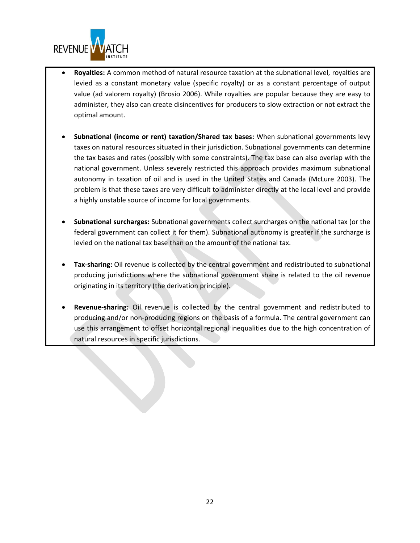

- **Royalties:** A common method of natural resource taxation at the subnational level, royalties are levied as a constant monetary value (specific royalty) or as a constant percentage of output value (ad valorem royalty) (Brosio 2006). While royalties are popular because they are easy to administer, they also can create disincentives for producers to slow extraction or not extract the optimal amount.
- **Subnational (income or rent) taxation/Shared tax bases:** When subnational governments levy taxes on natural resources situated in their jurisdiction. Subnational governments can determine the tax bases and rates (possibly with some constraints). The tax base can also overlap with the national government. Unless severely restricted this approach provides maximum subnational autonomy in taxation of oil and is used in the United States and Canada (McLure 2003). The problem is that these taxes are very difficult to administer directly at the local level and provide a highly unstable source of income for local governments.
- **Subnational surcharges:** Subnational governments collect surcharges on the national tax (or the federal government can collect it for them). Subnational autonomy is greater if the surcharge is levied on the national tax base than on the amount of the national tax.
- **Tax-sharing:** Oil revenue is collected by the central government and redistributed to subnational producing jurisdictions where the subnational government share is related to the oil revenue originating in its territory (the derivation principle).
- **Revenue-sharing:** Oil revenue is collected by the central government and redistributed to producing and/or non-producing regions on the basis of a formula. The central government can use this arrangement to offset horizontal regional inequalities due to the high concentration of natural resources in specific jurisdictions.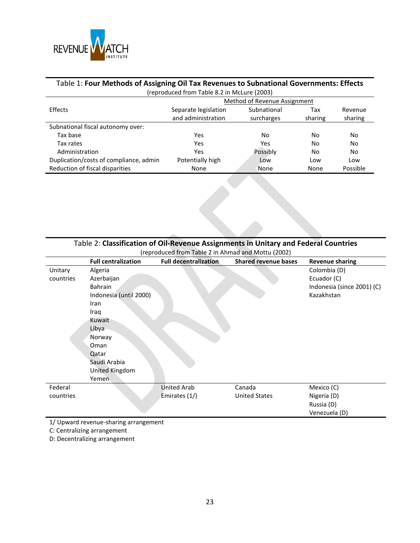

## Table 1: **Four Methods of Assigning Oil Tax Revenues to Subnational Governments: Effects**

| (reproduced from Table 8.2 in McLure (2003) |                              |             |         |          |  |  |  |  |
|---------------------------------------------|------------------------------|-------------|---------|----------|--|--|--|--|
|                                             | Method of Revenue Assignment |             |         |          |  |  |  |  |
| Effects                                     | Separate legislation         | Subnational | Tax     | Revenue  |  |  |  |  |
|                                             | and administration           | surcharges  | sharing | sharing  |  |  |  |  |
| Subnational fiscal autonomy over:           |                              |             |         |          |  |  |  |  |
| Tax base                                    | Yes                          | No          | No.     | No       |  |  |  |  |
| Tax rates                                   | Yes                          | Yes         | No      | No       |  |  |  |  |
| Administration                              | Yes                          | Possibly    | No      | No       |  |  |  |  |
| Duplication/costs of compliance, admin      | Potentially high             | Low         | Low     | Low      |  |  |  |  |
| Reduction of fiscal disparities             | None                         | None        | None    | Possible |  |  |  |  |

| Table 2: Classification of Oil-Revenue Assignments in Unitary and Federal Countries                                 |  |  |  |  |  |  |  |  |
|---------------------------------------------------------------------------------------------------------------------|--|--|--|--|--|--|--|--|
| (reproduced from Table 2 in Ahmad and Mottu (2002)                                                                  |  |  |  |  |  |  |  |  |
| <b>Full decentralization</b><br><b>Shared revenue bases</b><br><b>Full centralization</b><br><b>Revenue sharing</b> |  |  |  |  |  |  |  |  |
| Colombia (D)<br>Algeria<br>Unitary                                                                                  |  |  |  |  |  |  |  |  |
| Ecuador (C)<br>Azerbaijan<br>countries                                                                              |  |  |  |  |  |  |  |  |
| <b>Bahrain</b><br>Indonesia (since 2001) (C)                                                                        |  |  |  |  |  |  |  |  |
| Indonesia (until 2000)<br>Kazakhstan                                                                                |  |  |  |  |  |  |  |  |
| Iran                                                                                                                |  |  |  |  |  |  |  |  |
| Iraq                                                                                                                |  |  |  |  |  |  |  |  |
| Kuwait                                                                                                              |  |  |  |  |  |  |  |  |
| Libya                                                                                                               |  |  |  |  |  |  |  |  |
| Norway                                                                                                              |  |  |  |  |  |  |  |  |
| Oman                                                                                                                |  |  |  |  |  |  |  |  |
| Qatar                                                                                                               |  |  |  |  |  |  |  |  |
| Saudi Arabia                                                                                                        |  |  |  |  |  |  |  |  |
| United Kingdom                                                                                                      |  |  |  |  |  |  |  |  |
| Yemen                                                                                                               |  |  |  |  |  |  |  |  |
| Federal<br><b>United Arab</b><br>Canada<br>Mexico (C)                                                               |  |  |  |  |  |  |  |  |
| <b>United States</b><br>Emirates (1/)<br>Nigeria (D)<br>countries                                                   |  |  |  |  |  |  |  |  |
| Russia (D)                                                                                                          |  |  |  |  |  |  |  |  |
| Venezuela (D)                                                                                                       |  |  |  |  |  |  |  |  |

1/ Upward revenue-sharing arrangement

C: Centralizing arrangement

D: Decentralizing arrangement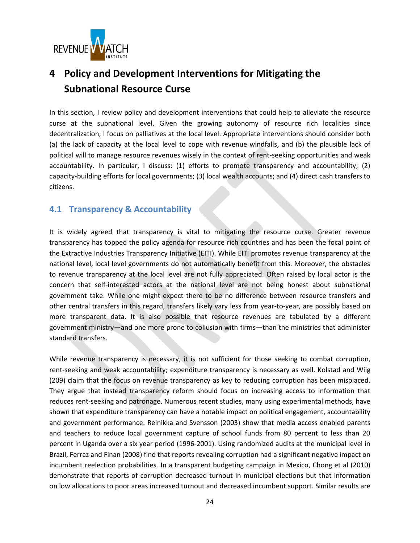

# <span id="page-23-0"></span>**4 Policy and Development Interventions for Mitigating the Subnational Resource Curse**

In this section, I review policy and development interventions that could help to alleviate the resource curse at the subnational level. Given the growing autonomy of resource rich localities since decentralization, I focus on palliatives at the local level. Appropriate interventions should consider both (a) the lack of capacity at the local level to cope with revenue windfalls, and (b) the plausible lack of political will to manage resource revenues wisely in the context of rent-seeking opportunities and weak accountability. In particular, I discuss: (1) efforts to promote transparency and accountability; (2) capacity-building efforts for local governments; (3) local wealth accounts; and (4) direct cash transfers to citizens.

#### <span id="page-23-1"></span>**4.1 Transparency & Accountability**

It is widely agreed that transparency is vital to mitigating the resource curse. Greater revenue transparency has topped the policy agenda for resource rich countries and has been the focal point of the Extractive Industries Transparency Initiative (EITI). While EITI promotes revenue transparency at the national level, local level governments do not automatically benefit from this. Moreover, the obstacles to revenue transparency at the local level are not fully appreciated. Often raised by local actor is the concern that self-interested actors at the national level are not being honest about subnational government take. While one might expect there to be no difference between resource transfers and other central transfers in this regard, transfers likely vary less from year-to-year, are possibly based on more transparent data. It is also possible that resource revenues are tabulated by a different government ministry—and one more prone to collusion with firms—than the ministries that administer standard transfers.

While revenue transparency is necessary, it is not sufficient for those seeking to combat corruption, rent-seeking and weak accountability; expenditure transparency is necessary as well. Kolstad and Wiig (209) claim that the focus on revenue transparency as key to reducing corruption has been misplaced. They argue that instead transparency reform should focus on increasing access to information that reduces rent-seeking and patronage. Numerous recent studies, many using experimental methods, have shown that expenditure transparency can have a notable impact on political engagement, accountability and government performance. Reinikka and Svensson (2003) show that media access enabled parents and teachers to reduce local government capture of school funds from 80 percent to less than 20 percent in Uganda over a six year period (1996-2001). Using randomized audits at the municipal level in Brazil, Ferraz and Finan (2008) find that reports revealing corruption had a significant negative impact on incumbent reelection probabilities. In a transparent budgeting campaign in Mexico, Chong et al (2010) demonstrate that reports of corruption decreased turnout in municipal elections but that information on low allocations to poor areas increased turnout and decreased incumbent support. Similar results are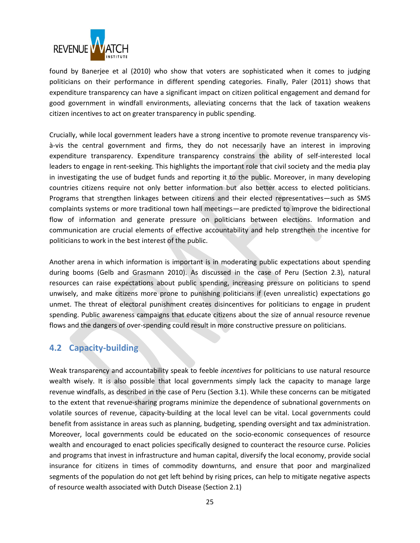

found by Banerjee et al (2010) who show that voters are sophisticated when it comes to judging politicians on their performance in different spending categories. Finally, Paler (2011) shows that expenditure transparency can have a significant impact on citizen political engagement and demand for good government in windfall environments, alleviating concerns that the lack of taxation weakens citizen incentives to act on greater transparency in public spending.

Crucially, while local government leaders have a strong incentive to promote revenue transparency visà-vis the central government and firms, they do not necessarily have an interest in improving expenditure transparency. Expenditure transparency constrains the ability of self-interested local leaders to engage in rent-seeking. This highlights the important role that civil society and the media play in investigating the use of budget funds and reporting it to the public. Moreover, in many developing countries citizens require not only better information but also better access to elected politicians. Programs that strengthen linkages between citizens and their elected representatives—such as SMS complaints systems or more traditional town hall meetings—are predicted to improve the bidirectional flow of information and generate pressure on politicians between elections. Information and communication are crucial elements of effective accountability and help strengthen the incentive for politicians to work in the best interest of the public.

Another arena in which information is important is in moderating public expectations about spending during booms (Gelb and Grasmann 2010). As discussed in the case of Peru (Section [2.3\)](#page-13-0), natural resources can raise expectations about public spending, increasing pressure on politicians to spend unwisely, and make citizens more prone to punishing politicians if (even unrealistic) expectations go unmet. The threat of electoral punishment creates disincentives for politicians to engage in prudent spending. Public awareness campaigns that educate citizens about the size of annual resource revenue flows and the dangers of over-spending could result in more constructive pressure on politicians.

#### <span id="page-24-0"></span>**4.2 Capacity-building**

Weak transparency and accountability speak to feeble *incentives* for politicians to use natural resource wealth wisely. It is also possible that local governments simply lack the capacity to manage large revenue windfalls, as described in the case of Peru (Section [3.1\)](#page-18-0). While these concerns can be mitigated to the extent that revenue-sharing programs minimize the dependence of subnational governments on volatile sources of revenue, capacity-building at the local level can be vital. Local governments could benefit from assistance in areas such as planning, budgeting, spending oversight and tax administration. Moreover, local governments could be educated on the socio-economic consequences of resource wealth and encouraged to enact policies specifically designed to counteract the resource curse. Policies and programs that invest in infrastructure and human capital, diversify the local economy, provide social insurance for citizens in times of commodity downturns, and ensure that poor and marginalized segments of the population do not get left behind by rising prices, can help to mitigate negative aspects of resource wealth associated with Dutch Disease (Section [2.1\)](#page-4-1)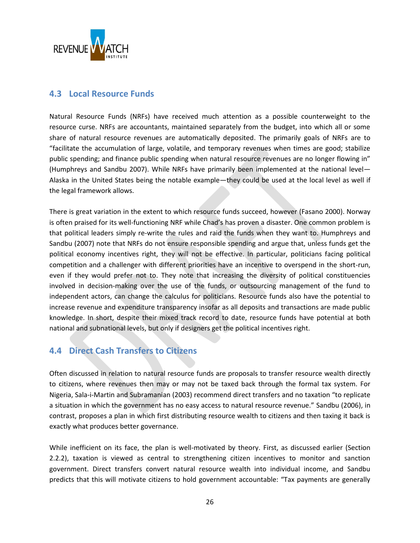

### <span id="page-25-0"></span>**4.3 Local Resource Funds**

Natural Resource Funds (NRFs) have received much attention as a possible counterweight to the resource curse. NRFs are accountants, maintained separately from the budget, into which all or some share of natural resource revenues are automatically deposited. The primarily goals of NRFs are to "facilitate the accumulation of large, volatile, and temporary revenues when times are good; stabilize public spending; and finance public spending when natural resource revenues are no longer flowing in" (Humphreys and Sandbu 2007). While NRFs have primarily been implemented at the national level— Alaska in the United States being the notable example—they could be used at the local level as well if the legal framework allows.

There is great variation in the extent to which resource funds succeed, however (Fasano 2000). Norway is often praised for its well-functioning NRF while Chad's has proven a disaster. One common problem is that political leaders simply re-write the rules and raid the funds when they want to. Humphreys and Sandbu (2007) note that NRFs do not ensure responsible spending and argue that, unless funds get the political economy incentives right, they will not be effective. In particular, politicians facing political competition and a challenger with different priorities have an incentive to overspend in the short-run, even if they would prefer not to. They note that increasing the diversity of political constituencies involved in decision-making over the use of the funds, or outsourcing management of the fund to independent actors, can change the calculus for politicians. Resource funds also have the potential to increase revenue and expenditure transparency insofar as all deposits and transactions are made public knowledge. In short, despite their mixed track record to date, resource funds have potential at both national and subnational levels, but only if designers get the political incentives right.

### <span id="page-25-1"></span>**4.4 Direct Cash Transfers to Citizens**

Often discussed in relation to natural resource funds are proposals to transfer resource wealth directly to citizens, where revenues then may or may not be taxed back through the formal tax system. For Nigeria, Sala-i-Martin and Subramanian (2003) recommend direct transfers and no taxation "to replicate a situation in which the government has no easy access to natural resource revenue." Sandbu (2006), in contrast, proposes a plan in which first distributing resource wealth to citizens and then taxing it back is exactly what produces better governance.

While inefficient on its face, the plan is well-motivated by theory. First, as discussed earlier (Section [2.2.2\)](#page-9-0), taxation is viewed as central to strengthening citizen incentives to monitor and sanction government. Direct transfers convert natural resource wealth into individual income, and Sandbu predicts that this will motivate citizens to hold government accountable: "Tax payments are generally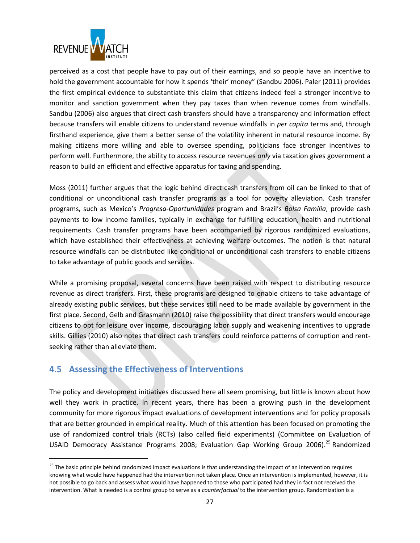

perceived as a cost that people have to pay out of their earnings, and so people have an incentive to hold the government accountable for how it spends 'their' money" (Sandbu 2006). Paler (2011) provides the first empirical evidence to substantiate this claim that citizens indeed feel a stronger incentive to monitor and sanction government when they pay taxes than when revenue comes from windfalls. Sandbu (2006) also argues that direct cash transfers should have a transparency and information effect because transfers will enable citizens to understand revenue windfalls in *per capita* terms and, through firsthand experience, give them a better sense of the volatility inherent in natural resource income. By making citizens more willing and able to oversee spending, politicians face stronger incentives to perform well. Furthermore, the ability to access resource revenues *only* via taxation gives government a reason to build an efficient and effective apparatus for taxing and spending.

Moss (2011) further argues that the logic behind direct cash transfers from oil can be linked to that of conditional or unconditional cash transfer programs as a tool for poverty alleviation. Cash transfer programs, such as Mexico's *Progresa*-*Oportunidades* program and Brazil's *Bolsa Familia*, provide cash payments to low income families, typically in exchange for fulfilling education, health and nutritional requirements. Cash transfer programs have been accompanied by rigorous randomized evaluations, which have established their effectiveness at achieving welfare outcomes. The notion is that natural resource windfalls can be distributed like conditional or unconditional cash transfers to enable citizens to take advantage of public goods and services.

While a promising proposal, several concerns have been raised with respect to distributing resource revenue as direct transfers. First, these programs are designed to enable citizens to take advantage of already existing public services, but these services still need to be made available by government in the first place. Second, Gelb and Grasmann (2010) raise the possibility that direct transfers would encourage citizens to opt for leisure over income, discouraging labor supply and weakening incentives to upgrade skills. Gillies (2010) also notes that direct cash transfers could reinforce patterns of corruption and rentseeking rather than alleviate them.

#### <span id="page-26-0"></span>**4.5 Assessing the Effectiveness of Interventions**

 $\overline{\phantom{a}}$ 

The policy and development initiatives discussed here all seem promising, but little is known about how well they work in practice. In recent years, there has been a growing push in the development community for more rigorous impact evaluations of development interventions and for policy proposals that are better grounded in empirical reality. Much of this attention has been focused on promoting the use of randomized control trials (RCTs) (also called field experiments) (Committee on Evaluation of USAID Democracy Assistance Programs 2008; Evaluation Gap Working Group 2006).<sup>25</sup> Randomized

<sup>&</sup>lt;sup>25</sup> The basic principle behind randomized impact evaluations is that understanding the impact of an intervention requires knowing what would have happened had the intervention not taken place. Once an intervention is implemented, however, it is not possible to go back and assess what would have happened to those who participated had they in fact not received the intervention. What is needed is a control group to serve as a *counterfactual* to the intervention group. Randomization is a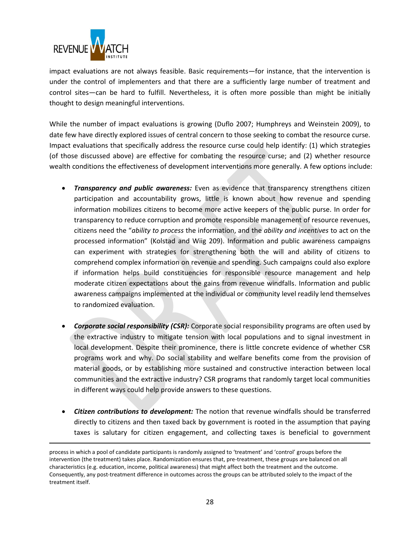

 $\overline{\phantom{a}}$ 

impact evaluations are not always feasible. Basic requirements—for instance, that the intervention is under the control of implementers and that there are a sufficiently large number of treatment and control sites—can be hard to fulfill. Nevertheless, it is often more possible than might be initially thought to design meaningful interventions.

While the number of impact evaluations is growing (Duflo 2007; Humphreys and Weinstein 2009), to date few have directly explored issues of central concern to those seeking to combat the resource curse. Impact evaluations that specifically address the resource curse could help identify: (1) which strategies (of those discussed above) are effective for combating the resource curse; and (2) whether resource wealth conditions the effectiveness of development interventions more generally. A few options include:

- *Transparency and public awareness:* Even as evidence that transparency strengthens citizen participation and accountability grows, little is known about how revenue and spending information mobilizes citizens to become more active keepers of the public purse. In order for transparency to reduce corruption and promote responsible management of resource revenues, citizens need the "*ability to process* the information, and the *ability and incentives* to act on the processed information" (Kolstad and Wiig 209). Information and public awareness campaigns can experiment with strategies for strengthening both the will and ability of citizens to comprehend complex information on revenue and spending. Such campaigns could also explore if information helps build constituencies for responsible resource management and help moderate citizen expectations about the gains from revenue windfalls. Information and public awareness campaigns implemented at the individual or community level readily lend themselves to randomized evaluation.
- *Corporate social responsibility (CSR):* Corporate social responsibility programs are often used by the extractive industry to mitigate tension with local populations and to signal investment in local development. Despite their prominence, there is little concrete evidence of whether CSR programs work and why. Do social stability and welfare benefits come from the provision of material goods, or by establishing more sustained and constructive interaction between local communities and the extractive industry? CSR programs that randomly target local communities in different ways could help provide answers to these questions.
- *Citizen contributions to development:* The notion that revenue windfalls should be transferred directly to citizens and then taxed back by government is rooted in the assumption that paying taxes is salutary for citizen engagement, and collecting taxes is beneficial to government

process in which a pool of candidate participants is randomly assigned to 'treatment' and 'control' groups before the intervention (the treatment) takes place. Randomization ensures that, pre-treatment, these groups are balanced on all characteristics (e.g. education, income, political awareness) that might affect both the treatment and the outcome. Consequently, any post-treatment difference in outcomes across the groups can be attributed solely to the impact of the treatment itself.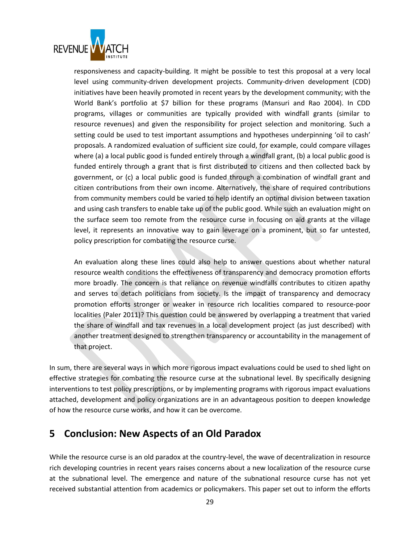

responsiveness and capacity-building. It might be possible to test this proposal at a very local level using community-driven development projects. Community-driven development (CDD) initiatives have been heavily promoted in recent years by the development community; with the World Bank's portfolio at \$7 billion for these programs (Mansuri and Rao 2004). In CDD programs, villages or communities are typically provided with windfall grants (similar to resource revenues) and given the responsibility for project selection and monitoring. Such a setting could be used to test important assumptions and hypotheses underpinning 'oil to cash' proposals. A randomized evaluation of sufficient size could, for example, could compare villages where (a) a local public good is funded entirely through a windfall grant, (b) a local public good is funded entirely through a grant that is first distributed to citizens and then collected back by government, or (c) a local public good is funded through a combination of windfall grant and citizen contributions from their own income. Alternatively, the share of required contributions from community members could be varied to help identify an optimal division between taxation and using cash transfers to enable take up of the public good. While such an evaluation might on the surface seem too remote from the resource curse in focusing on aid grants at the village level, it represents an innovative way to gain leverage on a prominent, but so far untested, policy prescription for combating the resource curse.

An evaluation along these lines could also help to answer questions about whether natural resource wealth conditions the effectiveness of transparency and democracy promotion efforts more broadly. The concern is that reliance on revenue windfalls contributes to citizen apathy and serves to detach politicians from society. Is the impact of transparency and democracy promotion efforts stronger or weaker in resource rich localities compared to resource-poor localities (Paler 2011)? This question could be answered by overlapping a treatment that varied the share of windfall and tax revenues in a local development project (as just described) with another treatment designed to strengthen transparency or accountability in the management of that project.

In sum, there are several ways in which more rigorous impact evaluations could be used to shed light on effective strategies for combating the resource curse at the subnational level. By specifically designing interventions to test policy prescriptions, or by implementing programs with rigorous impact evaluations attached, development and policy organizations are in an advantageous position to deepen knowledge of how the resource curse works, and how it can be overcome.

## <span id="page-28-0"></span>**5 Conclusion: New Aspects of an Old Paradox**

While the resource curse is an old paradox at the country-level, the wave of decentralization in resource rich developing countries in recent years raises concerns about a new localization of the resource curse at the subnational level. The emergence and nature of the subnational resource curse has not yet received substantial attention from academics or policymakers. This paper set out to inform the efforts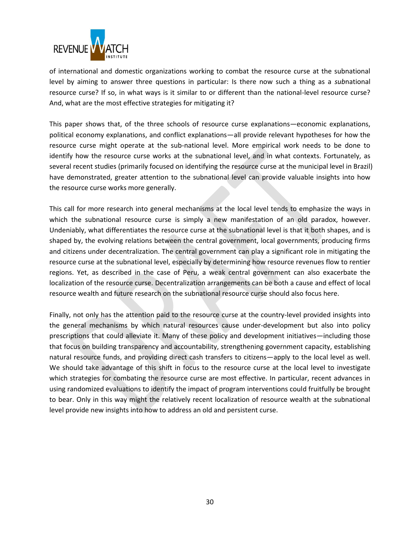

of international and domestic organizations working to combat the resource curse at the subnational level by aiming to answer three questions in particular: Is there now such a thing as a *sub*national resource curse? If so, in what ways is it similar to or different than the national-level resource curse? And, what are the most effective strategies for mitigating it?

This paper shows that, of the three schools of resource curse explanations—economic explanations, political economy explanations, and conflict explanations—all provide relevant hypotheses for how the resource curse might operate at the sub-national level. More empirical work needs to be done to identify how the resource curse works at the subnational level, and in what contexts. Fortunately, as several recent studies (primarily focused on identifying the resource curse at the municipal level in Brazil) have demonstrated, greater attention to the subnational level can provide valuable insights into how the resource curse works more generally.

This call for more research into general mechanisms at the local level tends to emphasize the ways in which the subnational resource curse is simply a new manifestation of an old paradox, however. Undeniably, what differentiates the resource curse at the subnational level is that it both shapes, and is shaped by, the evolving relations between the central government, local governments, producing firms and citizens under decentralization. The central government can play a significant role in mitigating the resource curse at the subnational level, especially by determining how resource revenues flow to rentier regions. Yet, as described in the case of Peru, a weak central government can also exacerbate the localization of the resource curse. Decentralization arrangements can be both a cause and effect of local resource wealth and future research on the subnational resource curse should also focus here.

Finally, not only has the attention paid to the resource curse at the country-level provided insights into the general mechanisms by which natural resources cause under-development but also into policy prescriptions that could alleviate it. Many of these policy and development initiatives—including those that focus on building transparency and accountability, strengthening government capacity, establishing natural resource funds, and providing direct cash transfers to citizens—apply to the local level as well. We should take advantage of this shift in focus to the resource curse at the local level to investigate which strategies for combating the resource curse are most effective. In particular, recent advances in using randomized evaluations to identify the impact of program interventions could fruitfully be brought to bear. Only in this way might the relatively recent localization of resource wealth at the subnational level provide new insights into how to address an old and persistent curse.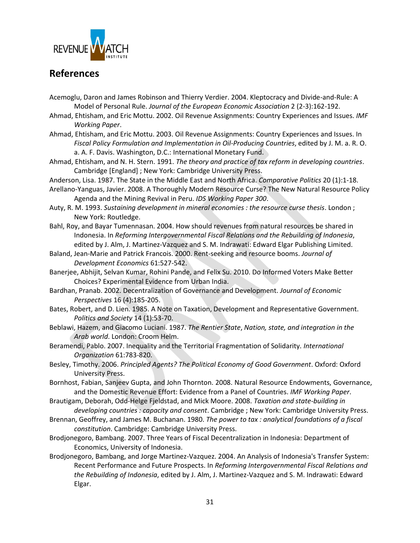

## <span id="page-30-0"></span>**References**

- Acemoglu, Daron and James Robinson and Thierry Verdier. 2004. Kleptocracy and Divide-and-Rule: A Model of Personal Rule. *Journal of the European Economic Association* 2 (2-3):162-192.
- Ahmad, Ehtisham, and Eric Mottu. 2002. Oil Revenue Assignments: Country Experiences and Issues. *IMF Working Paper*.
- Ahmad, Ehtisham, and Eric Mottu. 2003. Oil Revenue Assignments: Country Experiences and Issues. In *Fiscal Policy Formulation and Implementation in Oil-Producing Countries*, edited by J. M. a. R. O. a. A. F. Davis. Washington, D.C.: International Monetary Fund.
- Ahmad, Ehtisham, and N. H. Stern. 1991. *The theory and practice of tax reform in developing countries*. Cambridge [England] ; New York: Cambridge University Press.
- Anderson, Lisa. 1987. The State in the Middle East and North Africa. *Comparative Politics* 20 (1):1-18.
- Arellano-Yanguas, Javier. 2008. A Thoroughly Modern Resource Curse? The New Natural Resource Policy Agenda and the Mining Revival in Peru. *IDS Working Paper 300*.
- Auty, R. M. 1993. *Sustaining development in mineral economies : the resource curse thesis*. London ; New York: Routledge.
- Bahl, Roy, and Bayar Tumennasan. 2004. How should revenues from natural resources be shared in Indonesia. In *Reforming Intergovernmental Fiscal Relations and the Rebuilding of Indonesia*, edited by J. Alm, J. Martinez-Vazquez and S. M. Indrawati: Edward Elgar Publishing Limited.
- Baland, Jean-Marie and Patrick Francois. 2000. Rent-seeking and resource booms. *Journal of Development Economics* 61:527-542.
- Banerjee, Abhijit, Selvan Kumar, Rohini Pande, and Felix Su. 2010. Do Informed Voters Make Better Choices? Experimental Evidence from Urban India.
- Bardhan, Pranab. 2002. Decentralization of Governance and Development. *Journal of Economic Perspectives* 16 (4):185-205.
- Bates, Robert, and D. Lien. 1985. A Note on Taxation, Development and Representative Government. *Politics and Society* 14 (1):53-70.
- Beblawi, Hazem, and Giacomo Luciani. 1987. *The Rentier State*, *Nation, state, and integration in the Arab world*. London: Croom Helm.
- Beramendi, Pablo. 2007. Inequality and the Territorial Fragmentation of Solidarity. *International Organization* 61:783-820.
- Besley, Timothy. 2006. *Principled Agents? The Political Economy of Good Government*. Oxford: Oxford University Press.
- Bornhost, Fabian, Sanjeev Gupta, and John Thornton. 2008. Natural Resource Endowments, Governance, and the Domestic Revenue Effort: Evidence from a Panel of Countries. *IMF Working Paper*.
- Brautigam, Deborah, Odd-Helge Fjeldstad, and Mick Moore. 2008. *Taxation and state-building in developing countries : capacity and consent*. Cambridge ; New York: Cambridge University Press.
- Brennan, Geoffrey, and James M. Buchanan. 1980. *The power to tax : analytical foundations of a fiscal constitution*. Cambridge: Cambridge University Press.
- Brodjonegoro, Bambang. 2007. Three Years of Fiscal Decentralization in Indonesia: Department of Economics, University of Indonesia.
- Brodjonegoro, Bambang, and Jorge Martinez-Vazquez. 2004. An Analysis of Indonesia's Transfer System: Recent Performance and Future Prospects. In *Reforming Intergovernmental Fiscal Relations and the Rebuilding of Indonesia*, edited by J. Alm, J. Martinez-Vazquez and S. M. Indrawati: Edward Elgar.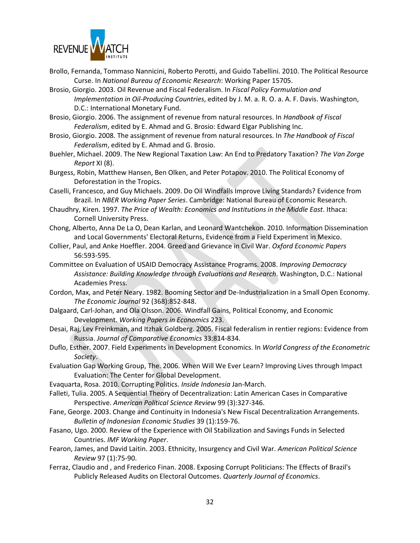

- Brollo, Fernanda, Tommaso Nannicini, Roberto Perotti, and Guido Tabellini. 2010. The Political Resource Curse. In *National Bureau of Economic Research*: Working Paper 15705.
- Brosio, Giorgio. 2003. Oil Revenue and Fiscal Federalism. In *Fiscal Policy Formulation and Implementation in Oil-Producing Countries*, edited by J. M. a. R. O. a. A. F. Davis. Washington, D.C.: International Monetary Fund.
- Brosio, Giorgio. 2006. The assignment of revenue from natural resources. In *Handbook of Fiscal Federalism*, edited by E. Ahmad and G. Brosio: Edward Elgar Publishing Inc.
- Brosio, Giorgio. 2008. The assignment of revenue from natural resources. In *The Handbook of Fiscal Federalism*, edited by E. Ahmad and G. Brosio.
- Buehler, Michael. 2009. The New Regional Taxation Law: An End to Predatory Taxation? *The Van Zorge Report* XI (8).
- Burgess, Robin, Matthew Hansen, Ben Olken, and Peter Potapov. 2010. The Political Economy of Deforestation in the Tropics.
- Caselli, Francesco, and Guy Michaels. 2009. Do Oil Windfalls Improve Living Standards? Evidence from Brazil. In *NBER Working Paper Series*. Cambridge: National Bureau of Economic Research.
- Chaudhry, Kiren. 1997. *The Price of Wealth: Economics and Institutions in the Middle East*. Ithaca: Cornell University Press.
- Chong, Alberto, Anna De La O, Dean Karlan, and Leonard Wantchekon. 2010. Information Dissemination and Local Governments' Electoral Returns, Evidence from a Field Experiment in Mexico.
- Collier, Paul, and Anke Hoeffler. 2004. Greed and Grievance in Civil War. *Oxford Economic Papers* 56:593-595.
- Committee on Evaluation of USAID Democracy Assistance Programs. 2008. *Improving Democracy Assistance: Building Knowledge through Evaluations and Research*. Washington, D.C.: National Academies Press.
- Cordon, Max, and Peter Neary. 1982. Booming Sector and De-Industrialization in a Small Open Economy. *The Economic Journal* 92 (368):852-848.
- Dalgaard, Carl-Johan, and Ola Olsson. 2006. Windfall Gains, Political Economy, and Economic Development. *Working Papers in Economics* 223.
- Desai, Raj, Lev Freinkman, and Itzhak Goldberg. 2005. Fiscal federalism in rentier regions: Evidence from Russia. *Journal of Comparative Economics* 33:814-834.
- Duflo, Esther. 2007. Field Experiments in Development Economics. In *World Congress of the Econometric Society*.
- Evaluation Gap Working Group, The. 2006. When Will We Ever Learn? Improving Lives through Impact Evaluation: The Center for Global Development.
- Evaquarta, Rosa. 2010. Corrupting Politics. *Inside Indonesia* Jan-March.
- Falleti, Tulia. 2005. A Sequential Theory of Decentralization: Latin American Cases in Comparative Perspective. *American Political Science Review* 99 (3):327-346.
- Fane, George. 2003. Change and Continuity in Indonesia's New Fiscal Decentralization Arrangements. *Bulletin of Indonesian Economic Studies* 39 (1):159-76.
- Fasano, Ugo. 2000. Review of the Experience with Oil Stabilization and Savings Funds in Selected Countries. *IMF Working Paper*.
- Fearon, James, and David Laitin. 2003. Ethnicity, Insurgency and Civil War. *American Political Science Review* 97 (1):75-90.
- Ferraz, Claudio and , and Frederico Finan. 2008. Exposing Corrupt Politicians: The Effects of Brazil's Publicly Released Audits on Electoral Outcomes. *Quarterly Journal of Economics*.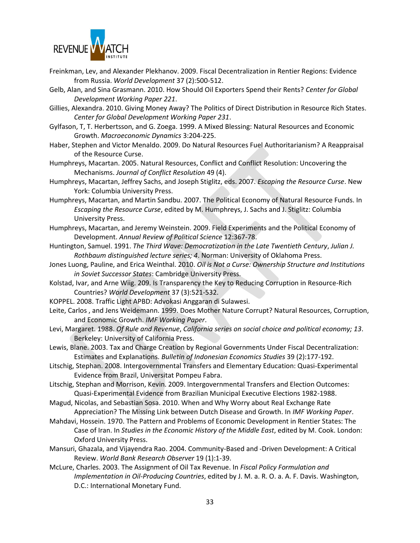

- Freinkman, Lev, and Alexander Plekhanov. 2009. Fiscal Decentralization in Rentier Regions: Evidence from Russia. *World Development* 37 (2):500-512.
- Gelb, Alan, and Sina Grasmann. 2010. How Should Oil Exporters Spend their Rents? *Center for Global Development Working Paper 221*.
- Gillies, Alexandra. 2010. Giving Money Away? The Politics of Direct Distribution in Resource Rich States. *Center for Global Development Working Paper 231*.
- Gylfason, T, T. Herbertsson, and G. Zoega. 1999. A Mixed Blessing: Natural Resources and Economic Growth. *Macroeconomic Dynamics* 3:204-225.
- Haber, Stephen and Victor Menaldo. 2009. Do Natural Resources Fuel Authoritarianism? A Reappraisal of the Resource Curse.
- Humphreys, Macartan. 2005. Natural Resources, Conflict and Conflict Resolution: Uncovering the Mechanisms. *Journal of Conflict Resolution* 49 (4).
- Humphreys, Macartan, Jeffrey Sachs, and Joseph Stiglitz, eds. 2007. *Escaping the Resource Curse*. New York: Columbia University Press.
- Humphreys, Macartan, and Martin Sandbu. 2007. The Political Economy of Natural Resource Funds. In *Escaping the Resource Curse*, edited by M. Humphreys, J. Sachs and J. Stiglitz: Columbia University Press.
- Humphreys, Macartan, and Jeremy Weinstein. 2009. Field Experiments and the Political Economy of Development. *Annual Review of Political Science* 12:367-78.
- Huntington, Samuel. 1991. *The Third Wave: Democratization in the Late Twentieth Century*, *Julian J. Rothbaum distinguished lecture series; 4*. Norman: University of Oklahoma Press.
- Jones Luong, Pauline, and Erica Weinthal. 2010. *Oil is Not a Curse: Ownership Structure and Institutions in Soviet Successor States*: Cambridge University Press.
- Kolstad, Ivar, and Arne Wiig. 209. Is Transparency the Key to Reducing Corruption in Resource-Rich Countries? *World Development* 37 (3):521-532.
- KOPPEL. 2008. Traffic Light APBD: Advokasi Anggaran di Sulawesi.
- Leite, Carlos , and Jens Weidemann. 1999. Does Mother Nature Corrupt? Natural Resources, Corruption, and Economic Growth. *IMF Working Paper*.
- Levi, Margaret. 1988. *Of Rule and Revenue*, *California series on social choice and political economy; 13*. Berkeley: University of California Press.
- Lewis, Blane. 2003. Tax and Charge Creation by Regional Governments Under Fiscal Decentralization: Estimates and Explanations. *Bulletin of Indonesian Economics Studies* 39 (2):177-192.
- Litschig, Stephan. 2008. Intergovernmental Transfers and Elementary Education: Quasi-Experimental Evidence from Brazil, Universitat Pompeu Fabra.
- Litschig, Stephan and Morrison, Kevin. 2009. Intergovernmental Transfers and Election Outcomes: Quasi-Experimental Evidence from Brazilian Municipal Executive Elections 1982-1988.
- Magud, Nicolas, and Sebastian Sosa. 2010. When and Why Worry about Real Exchange Rate Appreciation? The Missing Link between Dutch Disease and Growth. In *IMF Working Paper*.
- Mahdavi, Hossein. 1970. The Pattern and Problems of Economic Development in Rentier States: The Case of Iran. In *Studies in the Economic History of the Middle East*, edited by M. Cook. London: Oxford University Press.
- Mansuri, Ghazala, and Vijayendra Rao. 2004. Community-Based and -Driven Development: A Critical Review. *World Bank Research Observer* 19 (1):1-39.
- McLure, Charles. 2003. The Assignment of Oil Tax Revenue. In *Fiscal Policy Formulation and Implementation in Oil-Producing Countries*, edited by J. M. a. R. O. a. A. F. Davis. Washington, D.C.: International Monetary Fund.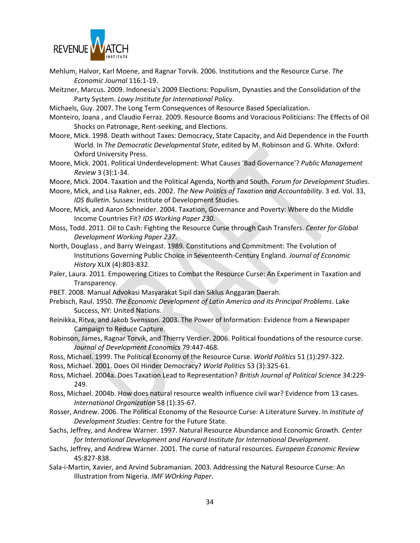

- Mehlum, Halvor, Karl Moene, and Ragnar Torvik. 2006. Institutions and the Resource Curse. *The Economic Journal* 116:1-19.
- Meitzner, Marcus. 2009. Indonesia's 2009 Elections: Populism, Dynasties and the Consolidation of the Party System. *Lowy Institute for International Policy*.

Michaels, Guy. 2007. The Long Term Consequences of Resource Based Specialization.

- Monteiro, Joana , and Claudio Ferraz. 2009. Resource Booms and Voracious Politicians: The Effects of Oil Shocks on Patronage, Rent-seeking, and Elections.
- Moore, Mick. 1998. Death without Taxes: Democracy, State Capacity, and Aid Dependence in the Fourth World. In *The Democratic Developmental State*, edited by M. Robinson and G. White. Oxford: Oxford University Press.
- Moore, Mick. 2001. Political Underdevelopment: What Causes 'Bad Governance'? *Public Management Review* 3 (3):1-34.
- Moore, Mick. 2004. Taxation and the Political Agenda, North and South. *Forum for Development Studies*.
- Moore, Mick, and Lisa Rakner, eds. 2002. *The New Politics of Taxation and Accountability*. 3 ed. Vol. 33, *IDS Bulletin*. Sussex: Institute of Development Studies.
- Moore, Mick, and Aaron Schneider. 2004. Taxation, Governance and Poverty: Where do the Middle Income Countries Fit? *IDS Working Paper 230*.
- Moss, Todd. 2011. Oil to Cash: Fighting the Resource Curse through Cash Transfers. *Center for Global Development Working Paper 237*.
- North, Douglass , and Barry Weingast. 1989. Constitutions and Commitment: The Evolution of Institutions Governing Public Choice in Seventeenth-Century England. *Journal of Economic History* XLIX (4):803-832.
- Paler, Laura. 2011. Empowering Citizes to Combat the Resource Curse: An Experiment in Taxation and Transparency.
- PBET. 2008. Manual Advokasi Masyarakat Sipil dan Siklus Anggaran Daerah.
- Prebisch, Raul. 1950. *The Economic Development of Latin America and its Principal Problems*. Lake Success, NY: United Nations.
- Reinikka, Ritva, and Jakob Svensson. 2003. The Power of Information: Evidence from a Newspaper Campaign to Reduce Capture.
- Robinson, James, Ragnar Torvik, and Thierry Verdier. 2006. Political foundations of the resource curse. *Journal of Development Economics* 79:447-468.
- Ross, Michael. 1999. The Political Economy of the Resource Curse. *World Politics* 51 (1):297-322.
- Ross, Michael. 2001. Does Oil Hinder Democracy? *World Politics* 53 (3):325-61.
- Ross, Michael. 2004a. Does Taxation Lead to Representation? *British Journal of Political Science* 34:229- 249.
- Ross, Michael. 2004b. How does natural resource wealth influence civil war? Evidence from 13 cases. *International Organization* 58 (1):35-67.
- Rosser, Andrew. 2006. The Political Economy of the Resource Curse: A Literature Survey. In *Institute of Development Studies*: Centre for the Future State.
- Sachs, Jeffrey, and Andrew Warner. 1997. Natural Resource Abundance and Economic Growth. *Center for International Development and Harvard Institute for International Development*.
- Sachs, Jeffrey, and Andrew Warner. 2001. The curse of natural resources. *European Economic Review* 45:827-838.
- Sala-i-Martin, Xavier, and Arvind Subramanian. 2003. Addressing the Natural Resource Curse: An Illustration from Nigeria. *IMF WOrking Paper*.